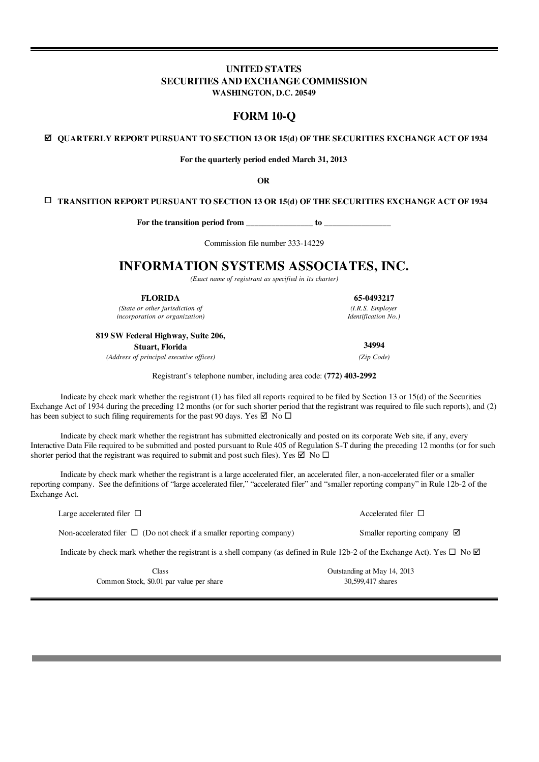# UNITED STATES SECURITIES AND EXCHANGE COMMISSION WASHINGTON, D.C. 20549

# FORM 10-Q

# $\boxtimes$  QUARTERLY REPORT PURSUANT TO SECTION 13 OR 15(d) OF THE SECURITIES EXCHANGE ACT OF 1934

For the quarterly period ended March 31, 2013

OR

# □ TRANSITION REPORT PURSUANT TO SECTION 13 OR 15(d) OF THE SECURITIES EXCHANGE ACT OF 1934

For the transition period from \_\_\_\_\_\_\_\_\_\_\_\_\_\_\_\_ to \_\_\_\_\_\_\_\_\_\_\_\_\_\_\_\_

Commission file number 333-14229

# INFORMATION SYSTEMS ASSOCIATES, INC.

*(Exact name of registrant as specified in its charter)*

FLORIDA 65-0493217

*(State or other jurisdiction of (I.R.S. Employer incorporation or organization) Identification No.)*

819 SW Federal Highway, Suite 206,

Stuart, Florida 34994<br>
of principal executive offices) (Zip Code)  $(Address of principal executive offices)$ 

Registrant's telephone number, including area code: (772) 403-2992

Indicate by check mark whether the registrant (1) has filed all reports required to be filed by Section 13 or 15(d) of the Securities Exchange Act of 1934 during the preceding 12 months (or for such shorter period that the registrant was required to file such reports), and (2) has been subject to such filing requirements for the past 90 days. Yes  $\boxtimes$  No  $\Box$ 

Indicate by check mark whether the registrant has submitted electronically and posted on its corporate Web site, if any, every Interactive Data File required to be submitted and posted pursuant to Rule 405 of Regulation S-T during the preceding 12 months (or for such shorter period that the registrant was required to submit and post such files). Yes  $\boxtimes$  No  $\Box$ 

Indicate by check mark whether the registrant is a large accelerated filer, an accelerated filer, a non-accelerated filer or a smaller reporting company. See the definitions of "large accelerated filer," "accelerated filer" and "smaller reporting company" in Rule 12b-2 of the Exchange Act.

Large accelerated filer  $\Box$ Non-accelerated filer  $\Box$  (Do not check if a smaller reporting company) Smaller reporting company  $\Box$ 

Indicate by check mark whether the registrant is a shell company (as defined in Rule 12b-2 of the Exchange Act). Yes  $\Box$  No  $\Box$ 

Common Stock, \$0.01 par value per share 30,599,417 shares

Class Outstanding at May 14, 2013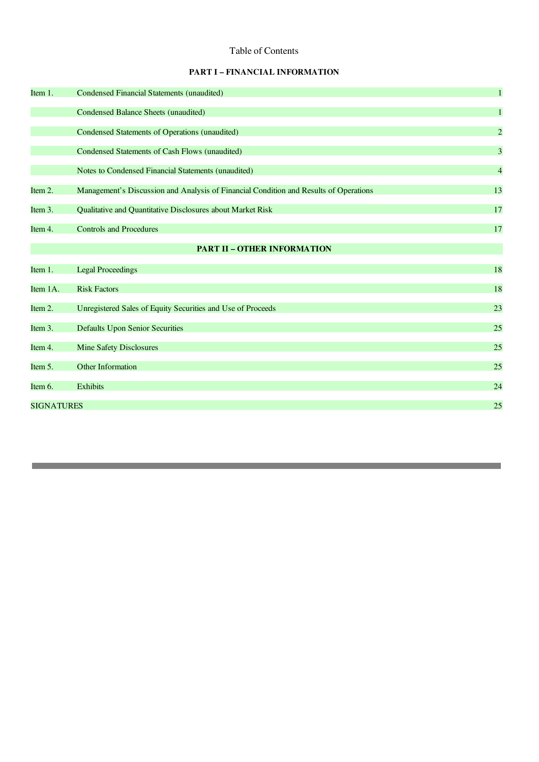# Table of Contents

# PART I – FINANCIAL INFORMATION

| Item 1.           | <b>Condensed Financial Statements (unaudited)</b>                                     | $\mathbf{1}$            |
|-------------------|---------------------------------------------------------------------------------------|-------------------------|
|                   | Condensed Balance Sheets (unaudited)                                                  | $\mathbf{1}$            |
|                   | Condensed Statements of Operations (unaudited)                                        | $\overline{2}$          |
|                   | Condensed Statements of Cash Flows (unaudited)                                        | $\overline{\mathbf{3}}$ |
|                   | Notes to Condensed Financial Statements (unaudited)                                   | $\overline{4}$          |
| Item 2.           | Management's Discussion and Analysis of Financial Condition and Results of Operations | 13                      |
| Item 3.           | Qualitative and Quantitative Disclosures about Market Risk                            | 17                      |
| Item 4.           | <b>Controls and Procedures</b>                                                        | 17                      |
|                   | <b>PART II - OTHER INFORMATION</b>                                                    |                         |
| Item 1.           | <b>Legal Proceedings</b>                                                              | 18                      |
| Item 1A.          | <b>Risk Factors</b>                                                                   | 18                      |
| Item 2.           | Unregistered Sales of Equity Securities and Use of Proceeds                           | 23                      |
| Item 3.           | <b>Defaults Upon Senior Securities</b>                                                | 25                      |
| Item 4.           | <b>Mine Safety Disclosures</b>                                                        | 25                      |
| Item 5.           | Other Information                                                                     | 25                      |
| Item 6.           | Exhibits                                                                              | 24                      |
| <b>SIGNATURES</b> |                                                                                       | 25                      |

a series and the series of the series of the series of the series of the series of the series of the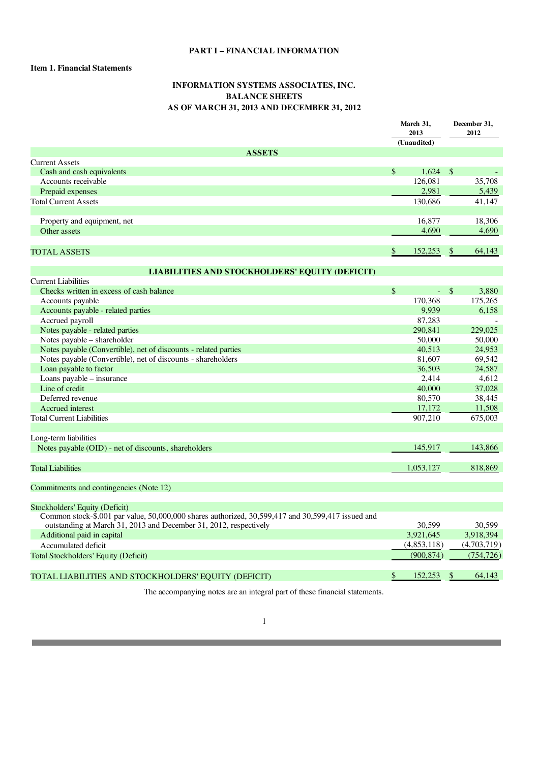# PART I – FINANCIAL INFORMATION

# Item 1. Financial Statements

# INFORMATION SYSTEMS ASSOCIATES, INC. BALANCE SHEETS AS OF MARCH 31, 2013 AND DECEMBER 31, 2012

|                                                                                                   | March 31,<br>2013 |                  |               | December 31,<br>2012 |
|---------------------------------------------------------------------------------------------------|-------------------|------------------|---------------|----------------------|
|                                                                                                   |                   | (Unaudited)      |               |                      |
| <b>ASSETS</b>                                                                                     |                   |                  |               |                      |
| <b>Current Assets</b>                                                                             |                   |                  |               |                      |
| Cash and cash equivalents                                                                         | \$                | 1,624            | - \$          |                      |
| Accounts receivable                                                                               |                   | 126,081<br>2,981 |               | 35,708               |
| Prepaid expenses                                                                                  |                   | 130,686          |               | 5,439                |
| <b>Total Current Assets</b>                                                                       |                   |                  |               | 41,147               |
| Property and equipment, net                                                                       |                   | 16,877           |               | 18,306               |
| Other assets                                                                                      |                   | 4,690            |               | 4,690                |
|                                                                                                   |                   |                  |               |                      |
| <b>TOTAL ASSETS</b>                                                                               | \$                | 152,253          | \$            | 64,143               |
|                                                                                                   |                   |                  |               |                      |
| <b>LIABILITIES AND STOCKHOLDERS' EQUITY (DEFICIT)</b><br><b>Current Liabilities</b>               |                   |                  |               |                      |
| Checks written in excess of cash balance                                                          | $\mathsf{\$}$     |                  | $\mathcal{S}$ | 3,880                |
| Accounts payable                                                                                  |                   | 170,368          |               | 175,265              |
| Accounts payable - related parties                                                                |                   | 9.939            |               | 6.158                |
| Accrued payroll                                                                                   |                   | 87,283           |               |                      |
| Notes payable - related parties                                                                   |                   | 290,841          |               | 229,025              |
| Notes payable - shareholder                                                                       |                   | 50,000           |               | 50,000               |
| Notes payable (Convertible), net of discounts - related parties                                   |                   | 40,513           |               | 24,953               |
| Notes payable (Convertible), net of discounts - shareholders                                      |                   | 81,607           |               | 69,542               |
| Loan payable to factor                                                                            |                   | 36,503           |               | 24,587               |
| Loans payable - insurance                                                                         |                   | 2,414            |               | 4,612                |
| Line of credit                                                                                    |                   | 40,000           |               | 37.028               |
| Deferred revenue                                                                                  |                   | 80,570           |               | 38,445               |
| <b>Accrued</b> interest                                                                           |                   | 17,172           |               | 11,508               |
| <b>Total Current Liabilities</b>                                                                  |                   | 907,210          |               | 675,003              |
|                                                                                                   |                   |                  |               |                      |
| Long-term liabilities                                                                             |                   |                  |               |                      |
| Notes payable (OID) - net of discounts, shareholders                                              |                   | 145,917          |               | 143,866              |
| <b>Total Liabilities</b>                                                                          |                   | 1,053,127        |               | 818.869              |
|                                                                                                   |                   |                  |               |                      |
| Commitments and contingencies (Note 12)                                                           |                   |                  |               |                      |
| Stockholders' Equity (Deficit)                                                                    |                   |                  |               |                      |
| Common stock-\$.001 par value, 50,000,000 shares authorized, 30,599,417 and 30,599,417 issued and |                   |                  |               |                      |
| outstanding at March 31, 2013 and December 31, 2012, respectively                                 |                   | 30,599           |               | 30,599               |
| Additional paid in capital                                                                        |                   | 3,921,645        |               | 3,918,394            |
| Accumulated deficit                                                                               |                   | (4,853,118)      |               | (4,703,719)          |
| <b>Total Stockholders' Equity (Deficit)</b>                                                       |                   | (900, 874)       |               | (754, 726)           |
| TOTAL LIABILITIES AND STOCKHOLDERS' EQUITY (DEFICIT)                                              | \$                | 152,253          | \$            | 64,143               |
| The ecomponing notes are an integral part of these financial statements                           |                   |                  |               |                      |

The accompanying notes are an integral part of these financial statements.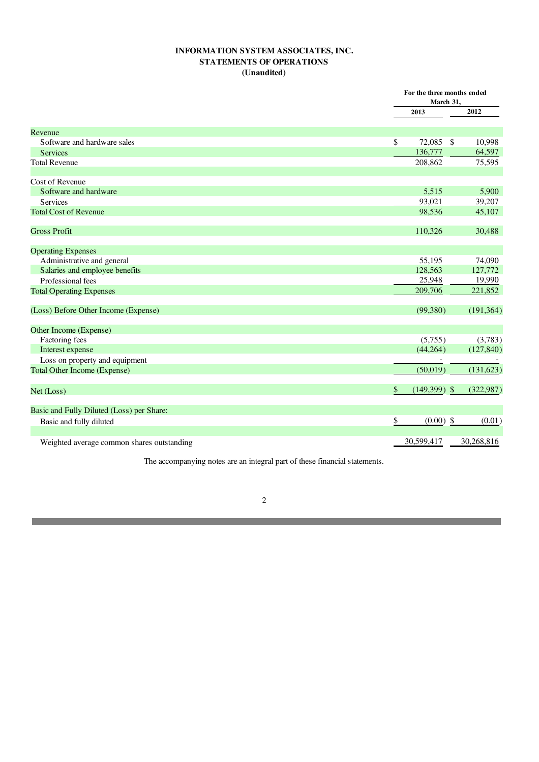# INFORMATION SYSTEM ASSOCIATES, INC. STATEMENTS OF OPERATIONS (Unaudited)

|                                            |                      | For the three months ended<br>March 31, |
|--------------------------------------------|----------------------|-----------------------------------------|
|                                            | 2013                 | 2012                                    |
| Revenue                                    |                      |                                         |
| Software and hardware sales                | \$<br>72,085         | - \$<br>10,998                          |
| <b>Services</b>                            | 136,777              | 64,597                                  |
| <b>Total Revenue</b>                       | 208,862              | 75,595                                  |
| Cost of Revenue                            |                      |                                         |
| Software and hardware                      | 5,515                | 5.900                                   |
| <b>Services</b>                            | 93,021               | 39,207                                  |
| <b>Total Cost of Revenue</b>               | 98,536               | 45,107                                  |
| <b>Gross Profit</b>                        | 110,326              | 30,488                                  |
| <b>Operating Expenses</b>                  |                      |                                         |
| Administrative and general                 | 55,195               | 74,090                                  |
| Salaries and employee benefits             | 128,563              | 127,772                                 |
| Professional fees                          | 25,948               | 19,990                                  |
| <b>Total Operating Expenses</b>            | 209,706              | 221,852                                 |
| (Loss) Before Other Income (Expense)       | (99, 380)            | (191, 364)                              |
| Other Income (Expense)                     |                      |                                         |
| Factoring fees                             | (5,755)              | (3,783)                                 |
| Interest expense                           | (44,264)             | (127, 840)                              |
| Loss on property and equipment             |                      |                                         |
| <b>Total Other Income (Expense)</b>        | (50,019)             | (131, 623)                              |
| Net (Loss)                                 | $(149,399)$ \$<br>\$ | (322, 987)                              |
| Basic and Fully Diluted (Loss) per Share:  |                      |                                         |
| Basic and fully diluted                    | $(0.00)$ \$<br>\$    | (0.01)                                  |
| Weighted average common shares outstanding | 30,599,417           | 30,268,816                              |

The accompanying notes are an integral part of these financial statements.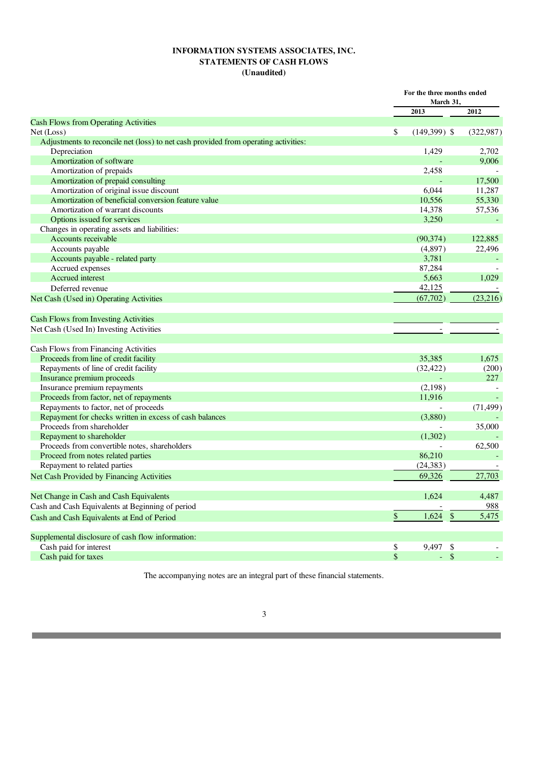# INFORMATION SYSTEMS ASSOCIATES, INC. STATEMENTS OF CASH FLOWS (Unaudited)

|                                                                                     |                | For the three months ended<br>March 31, |                        |  |
|-------------------------------------------------------------------------------------|----------------|-----------------------------------------|------------------------|--|
|                                                                                     |                | 2013                                    | 2012                   |  |
| <b>Cash Flows from Operating Activities</b>                                         |                |                                         |                        |  |
| Net (Loss)                                                                          | \$             | $(149,399)$ \$                          | (322, 987)             |  |
| Adjustments to reconcile net (loss) to net cash provided from operating activities: |                |                                         |                        |  |
| Depreciation                                                                        |                | 1,429                                   | 2,702                  |  |
| Amortization of software                                                            |                |                                         | 9,006                  |  |
| Amortization of prepaids                                                            |                | 2,458                                   |                        |  |
| Amortization of prepaid consulting                                                  |                |                                         | 17,500                 |  |
| Amortization of original issue discount                                             |                | 6,044                                   | 11,287                 |  |
| Amortization of beneficial conversion feature value                                 |                | 10,556                                  | 55,330                 |  |
| Amortization of warrant discounts                                                   |                | 14,378                                  | 57,536                 |  |
| Options issued for services                                                         |                | 3,250                                   |                        |  |
| Changes in operating assets and liabilities:                                        |                |                                         |                        |  |
| Accounts receivable                                                                 |                | (90, 374)                               | 122,885                |  |
| Accounts payable                                                                    |                | (4, 897)                                | 22,496                 |  |
| Accounts payable - related party                                                    |                | 3,781                                   |                        |  |
| Accrued expenses                                                                    |                | 87,284                                  |                        |  |
| Accrued interest                                                                    |                | 5,663                                   | 1,029                  |  |
| Deferred revenue                                                                    |                | 42,125                                  |                        |  |
| Net Cash (Used in) Operating Activities                                             |                | (67,702)                                | (23, 216)              |  |
| <b>Cash Flows from Investing Activities</b>                                         |                |                                         |                        |  |
| Net Cash (Used In) Investing Activities                                             |                |                                         |                        |  |
|                                                                                     |                |                                         |                        |  |
| Cash Flows from Financing Activities                                                |                |                                         |                        |  |
| Proceeds from line of credit facility                                               |                | 35,385                                  | 1,675                  |  |
| Repayments of line of credit facility                                               |                | (32, 422)                               | (200)                  |  |
| Insurance premium proceeds                                                          |                |                                         | 227                    |  |
| Insurance premium repayments                                                        |                | (2,198)                                 |                        |  |
| Proceeds from factor, net of repayments                                             |                | 11,916                                  |                        |  |
| Repayments to factor, net of proceeds                                               |                |                                         | (71, 499)              |  |
| Repayment for checks written in excess of cash balances                             |                | (3,880)                                 |                        |  |
| Proceeds from shareholder                                                           |                |                                         | 35,000                 |  |
| Repayment to shareholder                                                            |                | (1,302)                                 |                        |  |
| Proceeds from convertible notes, shareholders                                       |                |                                         | 62,500                 |  |
| Proceed from notes related parties                                                  |                | 86,210                                  |                        |  |
| Repayment to related parties                                                        |                | (24, 383)                               |                        |  |
| Net Cash Provided by Financing Activities                                           |                | 69,326                                  | 27,703                 |  |
| Net Change in Cash and Cash Equivalents                                             |                | 1,624                                   | 4,487                  |  |
| Cash and Cash Equivalents at Beginning of period                                    |                |                                         | 988                    |  |
| Cash and Cash Equivalents at End of Period                                          | $\mathbb{S}^-$ | 1,624                                   | $\frac{1}{2}$<br>5,475 |  |
|                                                                                     |                |                                         |                        |  |
| Supplemental disclosure of cash flow information:                                   |                |                                         |                        |  |
| Cash paid for interest                                                              | \$             | 9,497 \$                                |                        |  |
| Cash paid for taxes                                                                 | $\,$           | $-$ \$                                  |                        |  |

The accompanying notes are an integral part of these financial statements.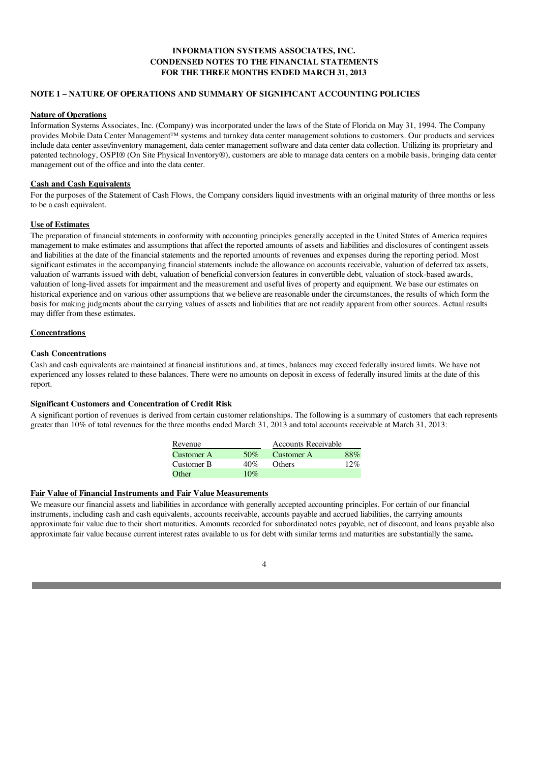# NOTE 1 – NATURE OF OPERATIONS AND SUMMARY OF SIGNIFICANT ACCOUNTING POLICIES

#### Nature of Operations

Information Systems Associates, Inc. (Company) was incorporated under the laws of the State of Florida on May 31, 1994. The Company provides Mobile Data Center Management™ systems and turnkey data center management solutions to customers. Our products and services include data center asset/inventory management, data center management software and data center data collection. Utilizing its proprietary and patented technology, OSPI® (On Site Physical Inventory®), customers are able to manage data centers on a mobile basis, bringing data center management out of the office and into the data center.

#### Cash and Cash Equivalents

For the purposes of the Statement of Cash Flows, the Company considers liquid investments with an original maturity of three months or less to be a cash equivalent.

#### Use of Estimates

The preparation of financial statements in conformity with accounting principles generally accepted in the United States of America requires management to make estimates and assumptions that affect the reported amounts of assets and liabilities and disclosures of contingent assets and liabilities at the date of the financial statements and the reported amounts of revenues and expenses during the reporting period. Most significant estimates in the accompanying financial statements include the allowance on accounts receivable, valuation of deferred tax assets, valuation of warrants issued with debt, valuation of beneficial conversion features in convertible debt, valuation of stock-based awards, valuation of long-lived assets for impairment and the measurement and useful lives of property and equipment. We base our estimates on historical experience and on various other assumptions that we believe are reasonable under the circumstances, the results of which form the basis for making judgments about the carrying values of assets and liabilities that are not readily apparent from other sources. Actual results may differ from these estimates.

# **Concentrations**

# Cash Concentrations

Cash and cash equivalents are maintained at financial institutions and, at times, balances may exceed federally insured limits. We have not experienced any losses related to these balances. There were no amounts on deposit in excess of federally insured limits at the date of this report.

#### Significant Customers and Concentration of Credit Risk

A significant portion of revenues is derived from certain customer relationships. The following is a summary of customers that each represents greater than 10% of total revenues for the three months ended March 31, 2013 and total accounts receivable at March 31, 2013:

| Revenue    |     | <b>Accounts Receivable</b> |     |
|------------|-----|----------------------------|-----|
| Customer A | 50% | Customer A                 | 88% |
| Customer B | 40% | <b>Others</b>              | 12% |
| Other      | 10% |                            |     |

# Fair Value of Financial Instruments and Fair Value Measurements

We measure our financial assets and liabilities in accordance with generally accepted accounting principles. For certain of our financial instruments, including cash and cash equivalents, accounts receivable, accounts payable and accrued liabilities, the carrying amounts approximate fair value due to their short maturities. Amounts recorded for subordinated notes payable, net of discount, and loans payable also approximate fair value because current interest rates available to us for debt with similar terms and maturities are substantially the same.

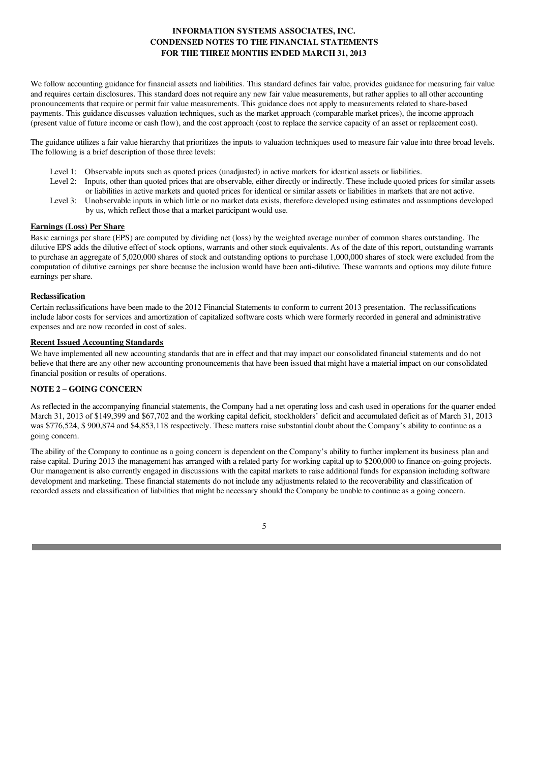We follow accounting guidance for financial assets and liabilities. This standard defines fair value, provides guidance for measuring fair value and requires certain disclosures. This standard does not require any new fair value measurements, but rather applies to all other accounting pronouncements that require or permit fair value measurements. This guidance does not apply to measurements related to share-based payments. This guidance discusses valuation techniques, such as the market approach (comparable market prices), the income approach (present value of future income or cash flow), and the cost approach (cost to replace the service capacity of an asset or replacement cost).

The guidance utilizes a fair value hierarchy that prioritizes the inputs to valuation techniques used to measure fair value into three broad levels. The following is a brief description of those three levels:

- Level 1: Observable inputs such as quoted prices (unadjusted) in active markets for identical assets or liabilities.
- Level  $2^{\cdot}$ Inputs, other than quoted prices that are observable, either directly or indirectly. These include quoted prices for similar assets or liabilities in active markets and quoted prices for identical or similar assets or liabilities in markets that are not active.
- Level  $3$ . Unobservable inputs in which little or no market data exists, therefore developed using estimates and assumptions developed by us, which reflect those that a market participant would use.

#### Earnings (Loss) Per Share

Basic earnings per share (EPS) are computed by dividing net (loss) by the weighted average number of common shares outstanding. The dilutive EPS adds the dilutive effect of stock options, warrants and other stock equivalents. As of the date of this report, outstanding warrants to purchase an aggregate of 5,020,000 shares of stock and outstanding options to purchase 1,000,000 shares of stock were excluded from the computation of dilutive earnings per share because the inclusion would have been anti-dilutive. These warrants and options may dilute future earnings per share.

#### Reclassification

Certain reclassifications have been made to the 2012 Financial Statements to conform to current 2013 presentation. The reclassifications include labor costs for services and amortization of capitalized software costs which were formerly recorded in general and administrative expenses and are now recorded in cost of sales.

#### Recent Issued Accounting Standards

We have implemented all new accounting standards that are in effect and that may impact our consolidated financial statements and do not believe that there are any other new accounting pronouncements that have been issued that might have a material impact on our consolidated financial position or results of operations.

#### NOTE 2 – GOING CONCERN

As reflected in the accompanying financial statements, the Company had a net operating loss and cash used in operations for the quarter ended March 31, 2013 of \$149,399 and \$67,702 and the working capital deficit, stockholders' deficit and accumulated deficit as of March 31, 2013 was \$776,524, \$ 900,874 and \$4,853,118 respectively. These matters raise substantial doubt about the Company's ability to continue as a going concern.

The ability of the Company to continue as a going concern is dependent on the Company's ability to further implement its business plan and raise capital. During 2013 the management has arranged with a related party for working capital up to \$200,000 to finance on-going projects. Our management is also currently engaged in discussions with the capital markets to raise additional funds for expansion including software development and marketing. These financial statements do not include any adjustments related to the recoverability and classification of recorded assets and classification of liabilities that might be necessary should the Company be unable to continue as a going concern.

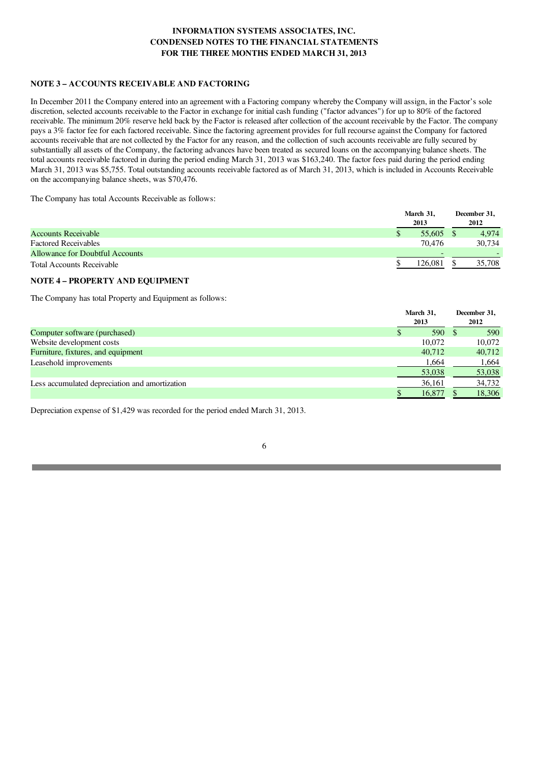# NOTE 3 – ACCOUNTS RECEIVABLE AND FACTORING

In December 2011 the Company entered into an agreement with a Factoring company whereby the Company will assign, in the Factor's sole discretion, selected accounts receivable to the Factor in exchange for initial cash funding ("factor advances") for up to 80% of the factored receivable. The minimum 20% reserve held back by the Factor is released after collection of the account receivable by the Factor. The company pays a 3% factor fee for each factored receivable. Since the factoring agreement provides for full recourse against the Company for factored accounts receivable that are not collected by the Factor for any reason, and the collection of such accounts receivable are fully secured by substantially all assets of the Company, the factoring advances have been treated as secured loans on the accompanying balance sheets. The total accounts receivable factored in during the period ending March 31, 2013 was \$163,240. The factor fees paid during the period ending March 31, 2013 was \$5,755. Total outstanding accounts receivable factored as of March 31, 2013, which is included in Accounts Receivable on the accompanying balance sheets, was \$70,476.

The Company has total Accounts Receivable as follows:

|                                        | March 31,<br>2013 | December 31,<br>2012 |
|----------------------------------------|-------------------|----------------------|
| <b>Accounts Receivable</b>             | 55,605<br>◡       | 4.974                |
| <b>Factored Receivables</b>            | 70.476            | 30.734               |
| <b>Allowance for Doubtful Accounts</b> |                   |                      |
| <b>Total Accounts Receivable</b>       | 126.081           | 35,708               |

#### NOTE 4 – PROPERTY AND EQUIPMENT

The Company has total Property and Equipment as follows:

|                                                |   | March 31.<br>2013 | December 31,<br>2012 |        |
|------------------------------------------------|---|-------------------|----------------------|--------|
| Computer software (purchased)                  | S | 590               |                      | 590    |
| Website development costs                      |   | 10.072            |                      | 10,072 |
| Furniture, fixtures, and equipment             |   | 40.712            |                      | 40,712 |
| Leasehold improvements                         |   | 1,664             |                      | 1,664  |
|                                                |   | 53,038            |                      | 53,038 |
| Less accumulated depreciation and amortization |   | 36,161            |                      | 34,732 |
|                                                |   | 16,877            |                      | 18,306 |

Depreciation expense of \$1,429 was recorded for the period ended March 31, 2013.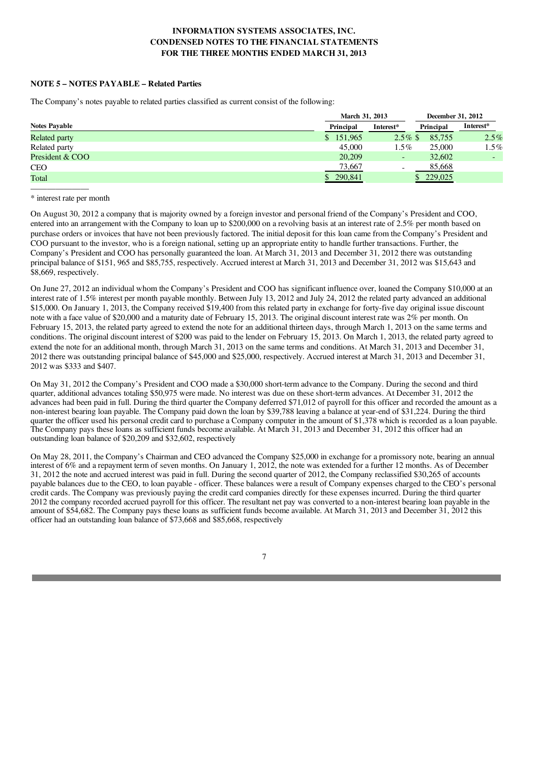# NOTE 5 – NOTES PAYABLE – Related Parties

The Company's notes payable to related parties classified as current consist of the following:

|                      | March 31, 2013 |                          | December 31, 2012 |           |  |
|----------------------|----------------|--------------------------|-------------------|-----------|--|
| <b>Notes Pavable</b> | Principal      | Interest*                | Principal         | Interest* |  |
| Related party        | \$151,965      | $2.5\%$ \$               | 85,755            | $2.5\%$   |  |
| Related party        | 45,000         | $1.5\%$                  | 25,000            | $1.5\%$   |  |
| President & COO      | 20,209         | $\overline{\phantom{0}}$ | 32,602            |           |  |
| <b>CEO</b>           | 73,667         |                          | 85,668            |           |  |
| Total                | 290,841        |                          | 229,025           |           |  |

\* interest rate per month

———————

On August 30, 2012 a company that is majority owned by a foreign investor and personal friend of the Company's President and COO, entered into an arrangement with the Company to loan up to \$200,000 on a revolving basis at an interest rate of 2.5% per month based on purchase orders or invoices that have not been previously factored. The initial deposit for this loan came from the Company's President and COO pursuant to the investor, who is a foreign national, setting up an appropriate entity to handle further transactions. Further, the Company's President and COO has personally guaranteed the loan. At March 31, 2013 and December 31, 2012 there was outstanding principal balance of \$151, 965 and \$85,755, respectively. Accrued interest at March 31, 2013 and December 31, 2012 was \$15,643 and \$8,669, respectively.

On June 27, 2012 an individual whom the Company's President and COO has significant influence over, loaned the Company \$10,000 at an interest rate of 1.5% interest per month payable monthly. Between July 13, 2012 and July 24, 2012 the related party advanced an additional \$15,000. On January 1, 2013, the Company received \$19,400 from this related party in exchange for forty-five day original issue discount note with a face value of \$20,000 and a maturity date of February 15, 2013. The original discount interest rate was 2% per month. On February 15, 2013, the related party agreed to extend the note for an additional thirteen days, through March 1, 2013 on the same terms and conditions. The original discount interest of \$200 was paid to the lender on February 15, 2013. On March 1, 2013, the related party agreed to extend the note for an additional month, through March 31, 2013 on the same terms and conditions. At March 31, 2013 and December 31, 2012 there was outstanding principal balance of \$45,000 and \$25,000, respectively. Accrued interest at March 31, 2013 and December 31, 2012 was \$333 and \$407.

On May 31, 2012 the Company's President and COO made a \$30,000 short-term advance to the Company. During the second and third quarter, additional advances totaling \$50,975 were made. No interest was due on these short-term advances. At December 31, 2012 the advances had been paid in full. During the third quarter the Company deferred \$71,012 of payroll for this officer and recorded the amount as a non-interest bearing loan payable. The Company paid down the loan by \$39,788 leaving a balance at year-end of \$31,224. During the third quarter the officer used his personal credit card to purchase a Company computer in the amount of \$1,378 which is recorded as a loan payable. The Company pays these loans as sufficient funds become available. At March 31, 2013 and December 31, 2012 this officer had an outstanding loan balance of \$20,209 and \$32,602, respectively

On May 28, 2011, the Company's Chairman and CEO advanced the Company \$25,000 in exchange for a promissory note, bearing an annual interest of 6% and a repayment term of seven months. On January 1, 2012, the note was extended for a further 12 months. As of December 31, 2012 the note and accrued interest was paid in full. During the second quarter of 2012, the Company reclassified \$30,265 of accounts payable balances due to the CEO, to loan payable - officer. These balances were a result of Company expenses charged to the CEO's personal credit cards. The Company was previously paying the credit card companies directly for these expenses incurred. During the third quarter 2012 the company recorded accrued payroll for this officer. The resultant net pay was converted to a non-interest bearing loan payable in the amount of \$54,682. The Company pays these loans as sufficient funds become available. At March 31, 2013 and December 31, 2012 this officer had an outstanding loan balance of \$73,668 and \$85,668, respectively

<sup>7</sup>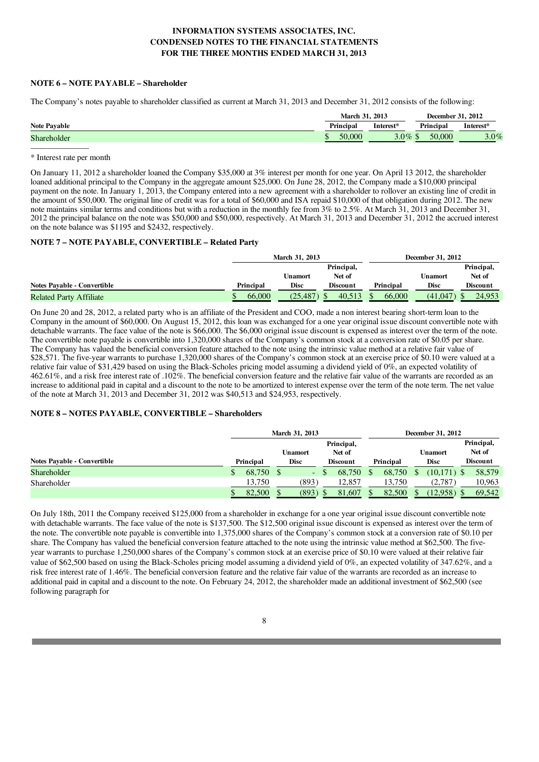#### NOTE 6 – NOTE PAYABLE – Shareholder

The Company's notes payable to shareholder classified as current at March 31, 2013 and December 31, 2012 consists of the following:

|                     | 2013<br>March |           | December . | 31.2012   |
|---------------------|---------------|-----------|------------|-----------|
| <b>Note Pavable</b> | Principal     | Interest* | Principal  | Interest* |
| Shareholder         | 000           | $3.0\%$   | 000        | $3.0\%$   |

#### ——————— \* Interest rate per month

On January 11, 2012 a shareholder loaned the Company \$35,000 at 3% interest per month for one year. On April 13 2012, the shareholder loaned additional principal to the Company in the aggregate amount \$25,000. On June 28, 2012, the Company made a \$10,000 principal payment on the note. In January 1, 2013, the Company entered into a new agreement with a shareholder to rollover an existing line of credit in the amount of \$50,000. The original line of credit was for a total of \$60,000 and ISA repaid \$10,000 of that obligation during 2012. The new note maintains similar terms and conditions but with a reduction in the monthly fee from 3% to 2.5%. At March 31, 2013 and December 31, 2012 the principal balance on the note was \$50,000 and \$50,000, respectively. At March 31, 2013 and December 31, 2012 the accrued interest on the note balance was \$1195 and \$2432, respectively.

# NOTE 7 – NOTE PAYABLE, CONVERTIBLE – Related Party

|                                | March 31, 2013 |           |            | December 31, 2012 |          |                 |
|--------------------------------|----------------|-----------|------------|-------------------|----------|-----------------|
|                                |                |           | Principal, |                   |          | Principal,      |
|                                |                | Unamort   | Net of     |                   | Unamort  | Net of          |
| Notes Payable - Convertible    | Principal      | Disc      | Discount   | Principal         | Disc     | <b>Discount</b> |
| <b>Related Party Affiliate</b> | 66,000         | (25, 487) | 40.513     | 66.000            | (41.047) | 24.953          |

On June 20 and 28, 2012, a related party who is an affiliate of the President and COO, made a non interest bearing short-term loan to the Company in the amount of \$60,000. On August 15, 2012, this loan was exchanged for a one year original issue discount convertible note with detachable warrants. The face value of the note is \$66,000. The \$6,000 original issue discount is expensed as interest over the term of the note. The convertible note payable is convertible into 1,320,000 shares of the Company's common stock at a conversion rate of \$0.05 per share. The Company has valued the beneficial conversion feature attached to the note using the intrinsic value method at a relative fair value of \$28,571. The five-year warrants to purchase 1,320,000 shares of the Company's common stock at an exercise price of \$0.10 were valued at a relative fair value of \$31,429 based on using the Black-Scholes pricing model assuming a dividend yield of 0%, an expected volatility of 462.61%, and a risk free interest rate of .102%. The beneficial conversion feature and the relative fair value of the warrants are recorded as an increase to additional paid in capital and a discount to the note to be amortized to interest expense over the term of the note term. The net value of the note at March 31, 2013 and December 31, 2012 was \$40,513 and \$24,953, respectively.

#### NOTE 8 – NOTES PAYABLE, CONVERTIBLE – Shareholders

|                                    |           | March 31, 2013 |             |                |                 | December 31, 2012 |           |        |  |                |                 |
|------------------------------------|-----------|----------------|-------------|----------------|-----------------|-------------------|-----------|--------|--|----------------|-----------------|
|                                    |           |                | Principal,  |                |                 |                   |           |        |  | Principal,     |                 |
|                                    |           |                |             | <b>Unamort</b> |                 | Net of            |           |        |  | <b>Unamort</b> | Net of          |
| <b>Notes Payable - Convertible</b> | Principal |                | <b>Disc</b> |                | <b>Discount</b> |                   | Principal |        |  | <b>Disc</b>    | <b>Discount</b> |
| Shareholder                        |           | 68.750         |             | Ξ.             |                 | 68.750            |           | 68.750 |  | $(10.171)$ \$  | 58,579          |
| Shareholder                        |           | 13,750         |             | (893           |                 | 12,857            |           | 13,750 |  | (2,787)        | 10,963          |
|                                    |           | 82,500         |             | (893)          |                 | 81,607            |           | 82,500 |  | 12,958)        | 69,542          |

On July 18th, 2011 the Company received \$125,000 from a shareholder in exchange for a one year original issue discount convertible note with detachable warrants. The face value of the note is \$137,500. The \$12,500 original issue discount is expensed as interest over the term of the note. The convertible note payable is convertible into 1,375,000 shares of the Company's common stock at a conversion rate of \$0.10 per share. The Company has valued the beneficial conversion feature attached to the note using the intrinsic value method at \$62,500. The fiveyear warrants to purchase 1,250,000 shares of the Company's common stock at an exercise price of \$0.10 were valued at their relative fair value of \$62,500 based on using the Black-Scholes pricing model assuming a dividend yield of 0%, an expected volatility of 347.62%, and a risk free interest rate of 1.46%. The beneficial conversion feature and the relative fair value of the warrants are recorded as an increase to additional paid in capital and a discount to the note. On February 24, 2012, the shareholder made an additional investment of \$62,500 (see following paragraph for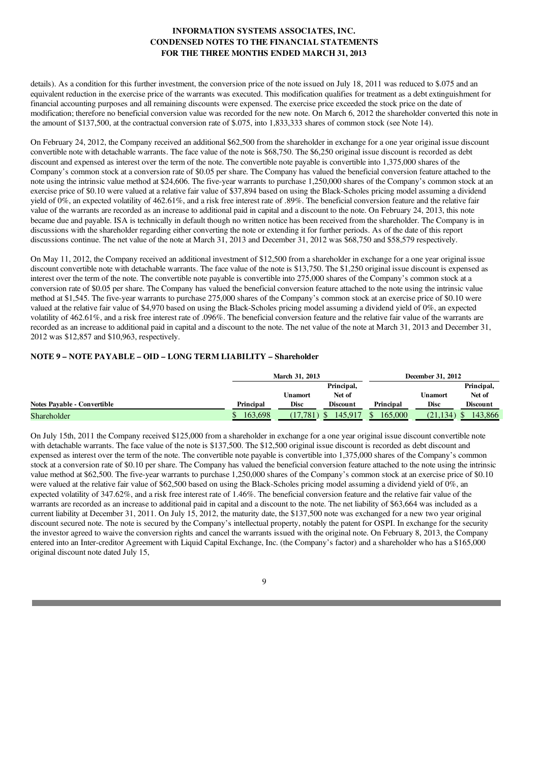details). As a condition for this further investment, the conversion price of the note issued on July 18, 2011 was reduced to \$.075 and an equivalent reduction in the exercise price of the warrants was executed. This modification qualifies for treatment as a debt extinguishment for financial accounting purposes and all remaining discounts were expensed. The exercise price exceeded the stock price on the date of modification; therefore no beneficial conversion value was recorded for the new note. On March 6, 2012 the shareholder converted this note in the amount of \$137,500, at the contractual conversion rate of \$.075, into 1,833,333 shares of common stock (see Note 14).

On February 24, 2012, the Company received an additional \$62,500 from the shareholder in exchange for a one year original issue discount convertible note with detachable warrants. The face value of the note is \$68,750. The \$6,250 original issue discount is recorded as debt discount and expensed as interest over the term of the note. The convertible note payable is convertible into 1,375,000 shares of the Company's common stock at a conversion rate of \$0.05 per share. The Company has valued the beneficial conversion feature attached to the note using the intrinsic value method at \$24,606. The five-year warrants to purchase 1,250,000 shares of the Company's common stock at an exercise price of \$0.10 were valued at a relative fair value of \$37,894 based on using the Black-Scholes pricing model assuming a dividend yield of 0%, an expected volatility of 462.61%, and a risk free interest rate of .89%. The beneficial conversion feature and the relative fair value of the warrants are recorded as an increase to additional paid in capital and a discount to the note. On February 24, 2013, this note became due and payable. ISA is technically in default though no written notice has been received from the shareholder. The Company is in discussions with the shareholder regarding either converting the note or extending it for further periods. As of the date of this report discussions continue. The net value of the note at March 31, 2013 and December 31, 2012 was \$68,750 and \$58,579 respectively.

On May 11, 2012, the Company received an additional investment of \$12,500 from a shareholder in exchange for a one year original issue discount convertible note with detachable warrants. The face value of the note is \$13,750. The \$1,250 original issue discount is expensed as interest over the term of the note. The convertible note payable is convertible into 275,000 shares of the Company's common stock at a conversion rate of \$0.05 per share. The Company has valued the beneficial conversion feature attached to the note using the intrinsic value method at \$1,545. The five-year warrants to purchase 275,000 shares of the Company's common stock at an exercise price of \$0.10 were valued at the relative fair value of \$4,970 based on using the Black-Scholes pricing model assuming a dividend yield of 0%, an expected volatility of 462.61%, and a risk free interest rate of .096%. The beneficial conversion feature and the relative fair value of the warrants are recorded as an increase to additional paid in capital and a discount to the note. The net value of the note at March 31, 2013 and December 31, 2012 was \$12,857 and \$10,963, respectively.

# NOTE 9 – NOTE PAYABLE – OID – LONG TERM LIABILITY – Shareholder

|                                    | March 31, 2013 |                |                 | December 31, 2012 |           |            |
|------------------------------------|----------------|----------------|-----------------|-------------------|-----------|------------|
|                                    |                |                | Principal,      |                   |           | Principal, |
|                                    |                | <b>Unamort</b> | Net of          |                   | Unamort   | Net of     |
| <b>Notes Payable - Convertible</b> | Principal      | Disc           | <b>Discount</b> | Principal         | Disc      | Discount   |
| <b>Shareholder</b>                 | 163,698        | 17,781)        | 145.917         | 165,000           | (21, 134) | 143,866    |

On July 15th, 2011 the Company received \$125,000 from a shareholder in exchange for a one year original issue discount convertible note with detachable warrants. The face value of the note is \$137,500. The \$12,500 original issue discount is recorded as debt discount and expensed as interest over the term of the note. The convertible note payable is convertible into 1,375,000 shares of the Company's common stock at a conversion rate of \$0.10 per share. The Company has valued the beneficial conversion feature attached to the note using the intrinsic value method at \$62,500. The five-year warrants to purchase 1,250,000 shares of the Company's common stock at an exercise price of \$0.10 were valued at the relative fair value of \$62,500 based on using the Black-Scholes pricing model assuming a dividend yield of 0%, an expected volatility of 347.62%, and a risk free interest rate of 1.46%. The beneficial conversion feature and the relative fair value of the warrants are recorded as an increase to additional paid in capital and a discount to the note. The net liability of \$63,664 was included as a current liability at December 31, 2011. On July 15, 2012, the maturity date, the \$137,500 note was exchanged for a new two year original discount secured note. The note is secured by the Company's intellectual property, notably the patent for OSPI. In exchange for the security the investor agreed to waive the conversion rights and cancel the warrants issued with the original note. On February 8, 2013, the Company entered into an Inter-creditor Agreement with Liquid Capital Exchange, Inc. (the Company's factor) and a shareholder who has a \$165,000 original discount note dated July 15,

 $\overline{Q}$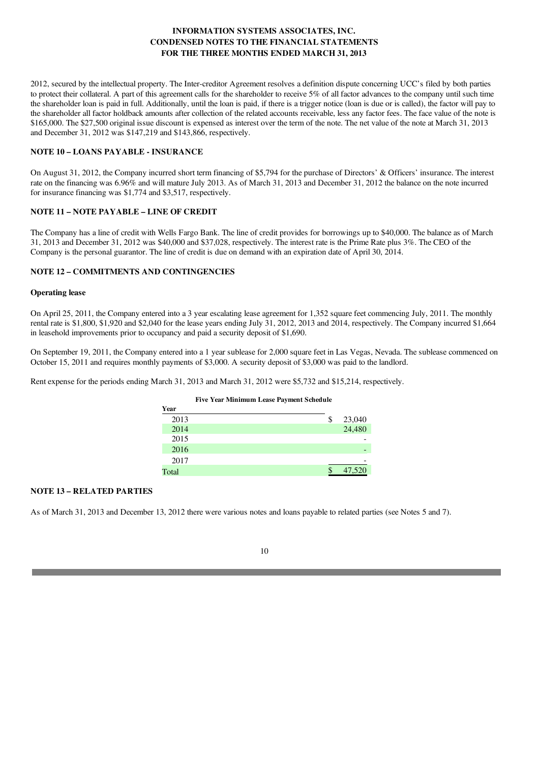2012, secured by the intellectual property. The Inter-creditor Agreement resolves a definition dispute concerning UCC's filed by both parties to protect their collateral. A part of this agreement calls for the shareholder to receive 5% of all factor advances to the company until such time the shareholder loan is paid in full. Additionally, until the loan is paid, if there is a trigger notice (loan is due or is called), the factor will pay to the shareholder all factor holdback amounts after collection of the related accounts receivable, less any factor fees. The face value of the note is \$165,000. The \$27,500 original issue discount is expensed as interest over the term of the note. The net value of the note at March 31, 2013 and December 31, 2012 was \$147,219 and \$143,866, respectively.

# NOTE 10 – LOANS PAYABLE - INSURANCE

On August 31, 2012, the Company incurred short term financing of \$5,794 for the purchase of Directors' & Officers' insurance. The interest rate on the financing was 6.96% and will mature July 2013. As of March 31, 2013 and December 31, 2012 the balance on the note incurred for insurance financing was \$1,774 and \$3,517, respectively.

#### NOTE 11 – NOTE PAYABLE – LINE OF CREDIT

The Company has a line of credit with Wells Fargo Bank. The line of credit provides for borrowings up to \$40,000. The balance as of March 31, 2013 and December 31, 2012 was \$40,000 and \$37,028, respectively. The interest rate is the Prime Rate plus 3%. The CEO of the Company is the personal guarantor. The line of credit is due on demand with an expiration date of April 30, 2014.

# NOTE 12 – COMMITMENTS AND CONTINGENCIES

#### Operating lease

On April 25, 2011, the Company entered into a 3 year escalating lease agreement for 1,352 square feet commencing July, 2011. The monthly rental rate is \$1,800, \$1,920 and \$2,040 for the lease years ending July 31, 2012, 2013 and 2014, respectively. The Company incurred \$1,664 in leasehold improvements prior to occupancy and paid a security deposit of \$1,690.

On September 19, 2011, the Company entered into a 1 year sublease for 2,000 square feet in Las Vegas, Nevada. The sublease commenced on October 15, 2011 and requires monthly payments of \$3,000. A security deposit of \$3,000 was paid to the landlord.

Rent expense for the periods ending March 31, 2013 and March 31, 2012 were \$5,732 and \$15,214, respectively.

|       | <b>Five Year Minimum Lease Payment Schedule</b> |              |
|-------|-------------------------------------------------|--------------|
| Year  |                                                 |              |
| 2013  |                                                 | \$<br>23,040 |
| 2014  |                                                 | 24,480       |
| 2015  |                                                 |              |
| 2016  |                                                 |              |
| 2017  |                                                 |              |
| Total |                                                 |              |
|       |                                                 |              |

# NOTE 13 – RELATED PARTIES

As of March 31, 2013 and December 13, 2012 there were various notes and loans payable to related parties (see Notes 5 and 7).

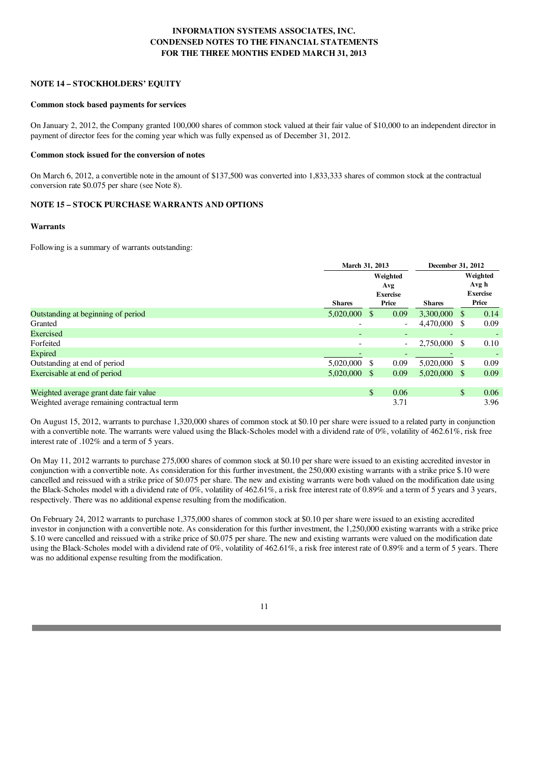### NOTE 14 – STOCKHOLDERS' EQUITY

#### Common stock based payments for services

On January 2, 2012, the Company granted 100,000 shares of common stock valued at their fair value of \$10,000 to an independent director in payment of director fees for the coming year which was fully expensed as of December 31, 2012.

#### Common stock issued for the conversion of notes

On March 6, 2012, a convertible note in the amount of \$137,500 was converted into 1,833,333 shares of common stock at the contractual conversion rate \$0.075 per share (see Note 8).

# NOTE 15 – STOCK PURCHASE WARRANTS AND OPTIONS

#### Warrants

Following is a summary of warrants outstanding:

|                                             |                          | March 31, 2013                     |                          | December 31, 2012 |                                      |       |  |
|---------------------------------------------|--------------------------|------------------------------------|--------------------------|-------------------|--------------------------------------|-------|--|
|                                             |                          | Weighted<br>Avg<br><b>Exercise</b> |                          |                   | Weighted<br>Avg h<br><b>Exercise</b> |       |  |
|                                             |                          |                                    |                          |                   |                                      |       |  |
|                                             | <b>Shares</b>            |                                    | Price                    | <b>Shares</b>     |                                      | Price |  |
| Outstanding at beginning of period          | 5,020,000                | \$.                                | 0.09                     | 3.300,000         | -S                                   | 0.14  |  |
| Granted                                     |                          |                                    | $\overline{\phantom{a}}$ | 4.470,000 \$      |                                      | 0.09  |  |
| Exercised                                   | $\overline{\phantom{a}}$ |                                    |                          |                   |                                      |       |  |
| Forfeited                                   |                          |                                    | $\overline{\phantom{a}}$ | 2,750,000 \$      |                                      | 0.10  |  |
| Expired                                     |                          |                                    |                          |                   |                                      |       |  |
| Outstanding at end of period                | 5,020,000                | \$.                                | 0.09                     | 5.020.000         | - \$                                 | 0.09  |  |
| Exercisable at end of period                | $5,020,000$ \$           |                                    | 0.09                     | 5,020,000 \$      |                                      | 0.09  |  |
|                                             |                          |                                    |                          |                   |                                      |       |  |
| Weighted average grant date fair value      |                          | \$                                 | 0.06                     |                   | \$                                   | 0.06  |  |
| Weighted average remaining contractual term |                          |                                    | 3.71                     |                   |                                      | 3.96  |  |

On August 15, 2012, warrants to purchase 1,320,000 shares of common stock at \$0.10 per share were issued to a related party in conjunction with a convertible note. The warrants were valued using the Black-Scholes model with a dividend rate of 0%, volatility of 462.61%, risk free interest rate of .102% and a term of 5 years.

On May 11, 2012 warrants to purchase 275,000 shares of common stock at \$0.10 per share were issued to an existing accredited investor in conjunction with a convertible note. As consideration for this further investment, the 250,000 existing warrants with a strike price \$.10 were cancelled and reissued with a strike price of \$0.075 per share. The new and existing warrants were both valued on the modification date using the Black-Scholes model with a dividend rate of 0%, volatility of 462.61%, a risk free interest rate of 0.89% and a term of 5 years and 3 years, respectively. There was no additional expense resulting from the modification.

On February 24, 2012 warrants to purchase 1,375,000 shares of common stock at \$0.10 per share were issued to an existing accredited investor in conjunction with a convertible note. As consideration for this further investment, the 1,250,000 existing warrants with a strike price \$.10 were cancelled and reissued with a strike price of \$0.075 per share. The new and existing warrants were valued on the modification date using the Black-Scholes model with a dividend rate of 0%, volatility of 462.61%, a risk free interest rate of 0.89% and a term of 5 years. There was no additional expense resulting from the modification.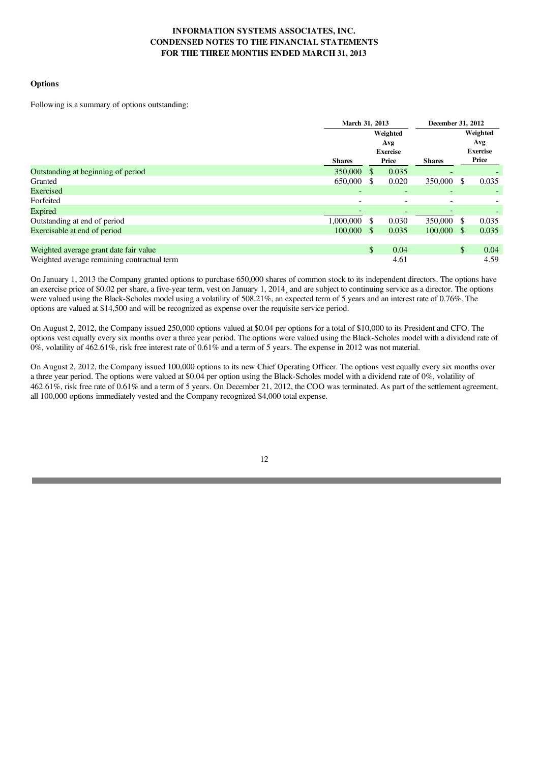### **Options**

Following is a summary of options outstanding:

|                                             |                          | March 31, 2013 |                 | December 31, 2012 |          |                 |
|---------------------------------------------|--------------------------|----------------|-----------------|-------------------|----------|-----------------|
|                                             |                          | Weighted       |                 |                   | Weighted |                 |
|                                             |                          |                | Avg             |                   |          | Avg             |
|                                             |                          |                | <b>Exercise</b> |                   |          | <b>Exercise</b> |
|                                             | <b>Shares</b>            |                | Price           | <b>Shares</b>     |          | Price           |
| Outstanding at beginning of period          | 350,000                  | \$.            | 0.035           |                   |          |                 |
| Granted                                     | 650,000                  | S              | 0.020           | 350,000 \$        |          | 0.035           |
| Exercised                                   |                          |                |                 |                   |          |                 |
| Forfeited                                   | $\overline{\phantom{0}}$ |                |                 |                   |          |                 |
| Expired                                     |                          |                |                 |                   |          |                 |
| Outstanding at end of period                | 1,000,000                | S.             | 0.030           | 350,000 \$        |          | 0.035           |
| Exercisable at end of period                | 100,000                  | <sup>\$</sup>  | 0.035           | 100,000 \$        |          | 0.035           |
|                                             |                          |                |                 |                   |          |                 |
| Weighted average grant date fair value      |                          | \$             | 0.04            |                   | \$       | 0.04            |
| Weighted average remaining contractual term |                          |                | 4.61            |                   |          | 4.59            |

On January 1, 2013 the Company granted options to purchase 650,000 shares of common stock to its independent directors. The options have an exercise price of \$0.02 per share, a five-year term, vest on January 1, 2014¸ and are subject to continuing service as a director. The options were valued using the Black-Scholes model using a volatility of 508.21%, an expected term of 5 years and an interest rate of 0.76%. The options are valued at \$14,500 and will be recognized as expense over the requisite service period.

On August 2, 2012, the Company issued 250,000 options valued at \$0.04 per options for a total of \$10,000 to its President and CFO. The options vest equally every six months over a three year period. The options were valued using the Black-Scholes model with a dividend rate of 0%, volatility of 462.61%, risk free interest rate of 0.61% and a term of 5 years. The expense in 2012 was not material.

On August 2, 2012, the Company issued 100,000 options to its new Chief Operating Officer. The options vest equally every six months over a three year period. The options were valued at \$0.04 per option using the Black-Scholes model with a dividend rate of 0%, volatility of 462.61%, risk free rate of 0.61% and a term of 5 years. On December 21, 2012, the COO was terminated. As part of the settlement agreement, all 100,000 options immediately vested and the Company recognized \$4,000 total expense.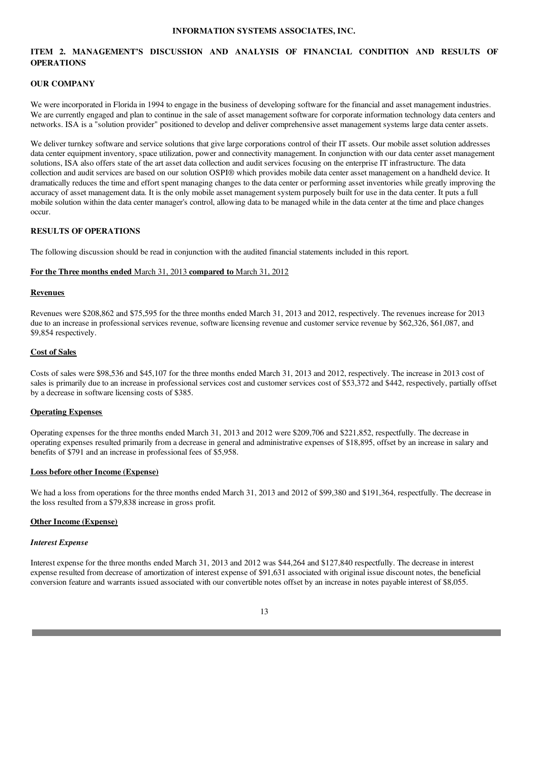# ITEM 2. MANAGEMENT'S DISCUSSION AND ANALYSIS OF FINANCIAL CONDITION AND RESULTS OF OPERATIONS

### OUR COMPANY

We were incorporated in Florida in 1994 to engage in the business of developing software for the financial and asset management industries. We are currently engaged and plan to continue in the sale of asset management software for corporate information technology data centers and networks. ISA is a "solution provider" positioned to develop and deliver comprehensive asset management systems large data center assets.

We deliver turnkey software and service solutions that give large corporations control of their IT assets. Our mobile asset solution addresses data center equipment inventory, space utilization, power and connectivity management. In conjunction with our data center asset management solutions, ISA also offers state of the art asset data collection and audit services focusing on the enterprise IT infrastructure. The data collection and audit services are based on our solution OSPI® which provides mobile data center asset management on a handheld device. It dramatically reduces the time and effort spent managing changes to the data center or performing asset inventories while greatly improving the accuracy of asset management data. It is the only mobile asset management system purposely built for use in the data center. It puts a full mobile solution within the data center manager's control, allowing data to be managed while in the data center at the time and place changes occur.

#### RESULTS OF OPERATIONS

The following discussion should be read in conjunction with the audited financial statements included in this report.

#### For the Three months ended March 31, 2013 compared to March 31, 2012

#### Revenues

Revenues were \$208,862 and \$75,595 for the three months ended March 31, 2013 and 2012, respectively. The revenues increase for 2013 due to an increase in professional services revenue, software licensing revenue and customer service revenue by \$62,326, \$61,087, and \$9,854 respectively.

# Cost of Sales

Costs of sales were \$98,536 and \$45,107 for the three months ended March 31, 2013 and 2012, respectively. The increase in 2013 cost of sales is primarily due to an increase in professional services cost and customer services cost of \$53,372 and \$442, respectively, partially offset by a decrease in software licensing costs of \$385.

### Operating Expenses

Operating expenses for the three months ended March 31, 2013 and 2012 were \$209,706 and \$221,852, respectfully. The decrease in operating expenses resulted primarily from a decrease in general and administrative expenses of \$18,895, offset by an increase in salary and benefits of \$791 and an increase in professional fees of \$5,958.

#### Loss before other Income (Expense)

We had a loss from operations for the three months ended March 31, 2013 and 2012 of \$99,380 and \$191,364, respectfully. The decrease in the loss resulted from a \$79,838 increase in gross profit.

#### Other Income (Expense)

#### *Interest Expense*

Interest expense for the three months ended March 31, 2013 and 2012 was \$44,264 and \$127,840 respectfully. The decrease in interest expense resulted from decrease of amortization of interest expense of \$91,631 associated with original issue discount notes, the beneficial conversion feature and warrants issued associated with our convertible notes offset by an increase in notes payable interest of \$8,055.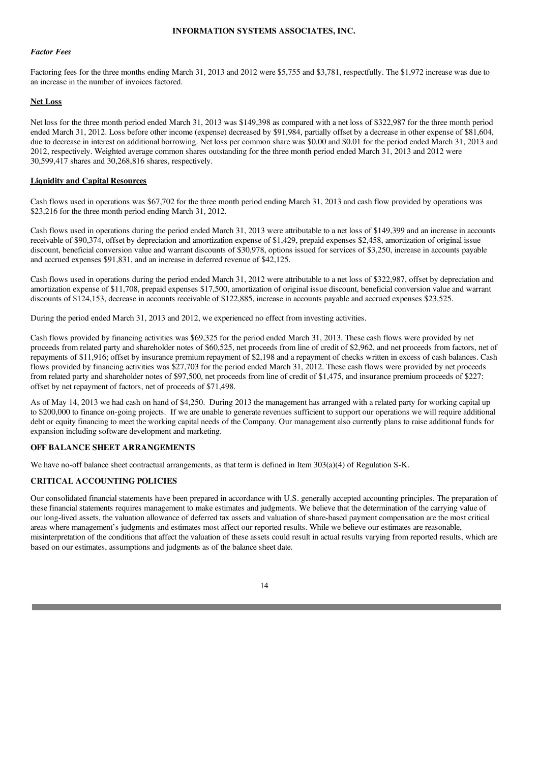#### *Factor Fees*

Factoring fees for the three months ending March 31, 2013 and 2012 were \$5,755 and \$3,781, respectfully. The \$1,972 increase was due to an increase in the number of invoices factored.

#### Net Loss

Net loss for the three month period ended March 31, 2013 was \$149,398 as compared with a net loss of \$322,987 for the three month period ended March 31, 2012. Loss before other income (expense) decreased by \$91,984, partially offset by a decrease in other expense of \$81,604, due to decrease in interest on additional borrowing. Net loss per common share was \$0.00 and \$0.01 for the period ended March 31, 2013 and 2012, respectively. Weighted average common shares outstanding for the three month period ended March 31, 2013 and 2012 were 30,599,417 shares and 30,268,816 shares, respectively.

#### Liquidity and Capital Resources

Cash flows used in operations was \$67,702 for the three month period ending March 31, 2013 and cash flow provided by operations was \$23,216 for the three month period ending March 31, 2012.

Cash flows used in operations during the period ended March 31, 2013 were attributable to a net loss of \$149,399 and an increase in accounts receivable of \$90,374, offset by depreciation and amortization expense of \$1,429, prepaid expenses \$2,458, amortization of original issue discount, beneficial conversion value and warrant discounts of \$30,978, options issued for services of \$3,250, increase in accounts payable and accrued expenses \$91,831, and an increase in deferred revenue of \$42,125.

Cash flows used in operations during the period ended March 31, 2012 were attributable to a net loss of \$322,987, offset by depreciation and amortization expense of \$11,708, prepaid expenses \$17,500, amortization of original issue discount, beneficial conversion value and warrant discounts of \$124,153, decrease in accounts receivable of \$122,885, increase in accounts payable and accrued expenses \$23,525.

During the period ended March 31, 2013 and 2012, we experienced no effect from investing activities.

Cash flows provided by financing activities was \$69,325 for the period ended March 31, 2013. These cash flows were provided by net proceeds from related party and shareholder notes of \$60,525, net proceeds from line of credit of \$2,962, and net proceeds from factors, net of repayments of \$11,916; offset by insurance premium repayment of \$2,198 and a repayment of checks written in excess of cash balances. Cash flows provided by financing activities was \$27,703 for the period ended March 31, 2012. These cash flows were provided by net proceeds from related party and shareholder notes of \$97,500, net proceeds from line of credit of \$1,475, and insurance premium proceeds of \$227: offset by net repayment of factors, net of proceeds of \$71,498.

As of May 14, 2013 we had cash on hand of \$4,250. During 2013 the management has arranged with a related party for working capital up to \$200,000 to finance on-going projects. If we are unable to generate revenues sufficient to support our operations we will require additional debt or equity financing to meet the working capital needs of the Company. Our management also currently plans to raise additional funds for expansion including software development and marketing.

#### OFF BALANCE SHEET ARRANGEMENTS

We have no-off balance sheet contractual arrangements, as that term is defined in Item 303(a)(4) of Regulation S-K.

#### CRITICAL ACCOUNTING POLICIES

Our consolidated financial statements have been prepared in accordance with U.S. generally accepted accounting principles. The preparation of these financial statements requires management to make estimates and judgments. We believe that the determination of the carrying value of our long-lived assets, the valuation allowance of deferred tax assets and valuation of share-based payment compensation are the most critical areas where management's judgments and estimates most affect our reported results. While we believe our estimates are reasonable, misinterpretation of the conditions that affect the valuation of these assets could result in actual results varying from reported results, which are based on our estimates, assumptions and judgments as of the balance sheet date.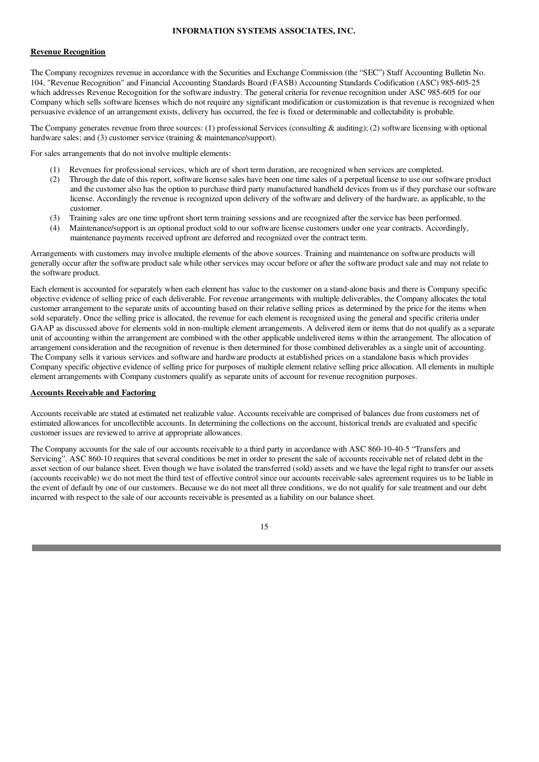#### Revenue Recognition

The Company recognizes revenue in accordance with the Securities and Exchange Commission (the "SEC") Staff Accounting Bulletin No. 104, "Revenue Recognition" and Financial Accounting Standards Board (FASB) Accounting Standards Codification (ASC) 985-605-25 which addresses Revenue Recognition for the software industry. The general criteria for revenue recognition under ASC 985-605 for our Company which sells software licenses which do not require any significant modification or customization is that revenue is recognized when persuasive evidence of an arrangement exists, delivery has occurred, the fee is fixed or determinable and collectability is probable.

The Company generates revenue from three sources: (1) professional Services (consulting  $\&$  auditing); (2) software licensing with optional hardware sales; and (3) customer service (training & maintenance/support).

For sales arrangements that do not involve multiple elements:

- (1) Revenues for professional services, which are of short term duration, are recognized when services are completed.
- (2) Through the date of this report, software license sales have been one time sales of a perpetual license to use our software product and the customer also has the option to purchase third party manufactured handheld devices from us if they purchase our software license. Accordingly the revenue is recognized upon delivery of the software and delivery of the hardware, as applicable, to the customer.
- (3) Training sales are one time upfront short term training sessions and are recognized after the service has been performed.
- (4) Maintenance/support is an optional product sold to our software license customers under one year contracts. Accordingly, maintenance payments received upfront are deferred and recognized over the contract term.

Arrangements with customers may involve multiple elements of the above sources. Training and maintenance on software products will generally occur after the software product sale while other services may occur before or after the software product sale and may not relate to the software product.

Each element is accounted for separately when each element has value to the customer on a stand-alone basis and there is Company specific objective evidence of selling price of each deliverable. For revenue arrangements with multiple deliverables, the Company allocates the total customer arrangement to the separate units of accounting based on their relative selling prices as determined by the price for the items when sold separately. Once the selling price is allocated, the revenue for each element is recognized using the general and specific criteria under GAAP as discussed above for elements sold in non-multiple element arrangements. A delivered item or items that do not qualify as a separate unit of accounting within the arrangement are combined with the other applicable undelivered items within the arrangement. The allocation of arrangement consideration and the recognition of revenue is then determined for those combined deliverables as a single unit of accounting. The Company sells it various services and software and hardware products at established prices on a standalone basis which provides Company specific objective evidence of selling price for purposes of multiple element relative selling price allocation. All elements in multiple element arrangements with Company customers qualify as separate units of account for revenue recognition purposes.

#### Accounts Receivable and Factoring

Accounts receivable are stated at estimated net realizable value. Accounts receivable are comprised of balances due from customers net of estimated allowances for uncollectible accounts. In determining the collections on the account, historical trends are evaluated and specific customer issues are reviewed to arrive at appropriate allowances.

The Company accounts for the sale of our accounts receivable to a third party in accordance with ASC 860-10-40-5 "Transfers and Servicing". ASC 860-10 requires that several conditions be met in order to present the sale of accounts receivable net of related debt in the asset section of our balance sheet. Even though we have isolated the transferred (sold) assets and we have the legal right to transfer our assets (accounts receivable) we do not meet the third test of effective control since our accounts receivable sales agreement requires us to be liable in the event of default by one of our customers. Because we do not meet all three conditions, we do not qualify for sale treatment and our debt incurred with respect to the sale of our accounts receivable is presented as a liability on our balance sheet.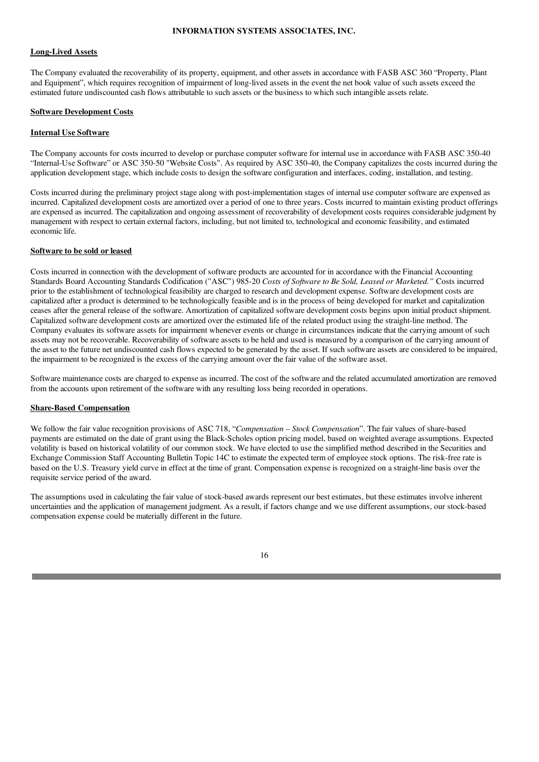# Long-Lived Assets

The Company evaluated the recoverability of its property, equipment, and other assets in accordance with FASB ASC 360 "Property, Plant and Equipment", which requires recognition of impairment of long-lived assets in the event the net book value of such assets exceed the estimated future undiscounted cash flows attributable to such assets or the business to which such intangible assets relate.

#### Software Development Costs

# Internal Use Software

The Company accounts for costs incurred to develop or purchase computer software for internal use in accordance with FASB ASC 350-40 "Internal-Use Software" or ASC 350-50 "Website Costs". As required by ASC 350-40, the Company capitalizes the costs incurred during the application development stage, which include costs to design the software configuration and interfaces, coding, installation, and testing.

Costs incurred during the preliminary project stage along with post-implementation stages of internal use computer software are expensed as incurred. Capitalized development costs are amortized over a period of one to three years. Costs incurred to maintain existing product offerings are expensed as incurred. The capitalization and ongoing assessment of recoverability of development costs requires considerable judgment by management with respect to certain external factors, including, but not limited to, technological and economic feasibility, and estimated economic life.

#### Software to be sold or leased

Costs incurred in connection with the development of software products are accounted for in accordance with the Financial Accounting Standards Board Accounting Standards Codification ("ASC") 985-20 *Costs of Software to Be Sold, Leased or Marketed."* Costs incurred prior to the establishment of technological feasibility are charged to research and development expense. Software development costs are capitalized after a product is determined to be technologically feasible and is in the process of being developed for market and capitalization ceases after the general release of the software. Amortization of capitalized software development costs begins upon initial product shipment. Capitalized software development costs are amortized over the estimated life of the related product using the straight-line method. The Company evaluates its software assets for impairment whenever events or change in circumstances indicate that the carrying amount of such assets may not be recoverable. Recoverability of software assets to be held and used is measured by a comparison of the carrying amount of the asset to the future net undiscounted cash flows expected to be generated by the asset. If such software assets are considered to be impaired, the impairment to be recognized is the excess of the carrying amount over the fair value of the software asset.

Software maintenance costs are charged to expense as incurred. The cost of the software and the related accumulated amortization are removed from the accounts upon retirement of the software with any resulting loss being recorded in operations.

#### Share-Based Compensation

We follow the fair value recognition provisions of ASC 718, "*Compensation – Stock Compensation*". The fair values of share-based payments are estimated on the date of grant using the Black-Scholes option pricing model, based on weighted average assumptions. Expected volatility is based on historical volatility of our common stock. We have elected to use the simplified method described in the Securities and Exchange Commission Staff Accounting Bulletin Topic 14C to estimate the expected term of employee stock options. The risk-free rate is based on the U.S. Treasury yield curve in effect at the time of grant. Compensation expense is recognized on a straight-line basis over the requisite service period of the award.

The assumptions used in calculating the fair value of stock-based awards represent our best estimates, but these estimates involve inherent uncertainties and the application of management judgment. As a result, if factors change and we use different assumptions, our stock-based compensation expense could be materially different in the future.

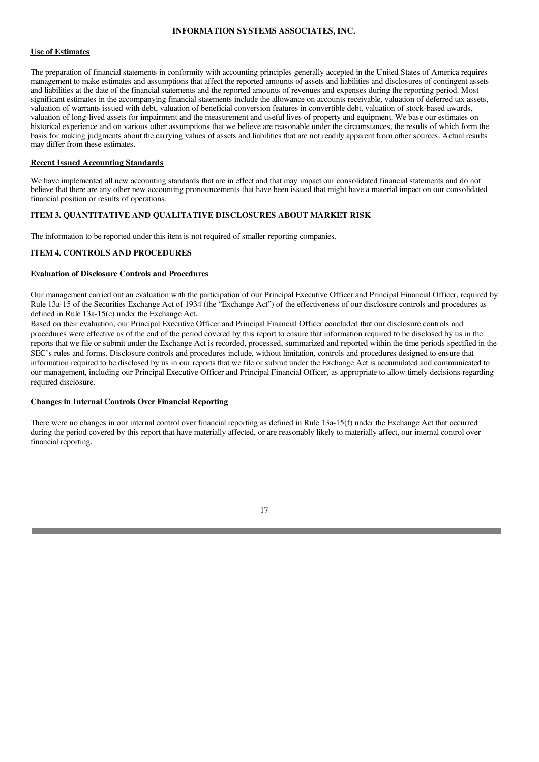### Use of Estimates

The preparation of financial statements in conformity with accounting principles generally accepted in the United States of America requires management to make estimates and assumptions that affect the reported amounts of assets and liabilities and disclosures of contingent assets and liabilities at the date of the financial statements and the reported amounts of revenues and expenses during the reporting period. Most significant estimates in the accompanying financial statements include the allowance on accounts receivable, valuation of deferred tax assets, valuation of warrants issued with debt, valuation of beneficial conversion features in convertible debt, valuation of stock-based awards, valuation of long-lived assets for impairment and the measurement and useful lives of property and equipment. We base our estimates on historical experience and on various other assumptions that we believe are reasonable under the circumstances, the results of which form the basis for making judgments about the carrying values of assets and liabilities that are not readily apparent from other sources. Actual results may differ from these estimates.

### Recent Issued Accounting Standards

We have implemented all new accounting standards that are in effect and that may impact our consolidated financial statements and do not believe that there are any other new accounting pronouncements that have been issued that might have a material impact on our consolidated financial position or results of operations.

#### ITEM 3. QUANTITATIVE AND QUALITATIVE DISCLOSURES ABOUT MARKET RISK

The information to be reported under this item is not required of smaller reporting companies.

# ITEM 4. CONTROLS AND PROCEDURES

#### Evaluation of Disclosure Controls and Procedures

Our management carried out an evaluation with the participation of our Principal Executive Officer and Principal Financial Officer, required by Rule 13a-15 of the Securities Exchange Act of 1934 (the "Exchange Act") of the effectiveness of our disclosure controls and procedures as defined in Rule 13a-15(e) under the Exchange Act.

Based on their evaluation, our Principal Executive Officer and Principal Financial Officer concluded that our disclosure controls and procedures were effective as of the end of the period covered by this report to ensure that information required to be disclosed by us in the reports that we file or submit under the Exchange Act is recorded, processed, summarized and reported within the time periods specified in the SEC's rules and forms. Disclosure controls and procedures include, without limitation, controls and procedures designed to ensure that information required to be disclosed by us in our reports that we file or submit under the Exchange Act is accumulated and communicated to our management, including our Principal Executive Officer and Principal Financial Officer, as appropriate to allow timely decisions regarding required disclosure.

# Changes in Internal Controls Over Financial Reporting

There were no changes in our internal control over financial reporting as defined in Rule 13a-15(f) under the Exchange Act that occurred during the period covered by this report that have materially affected, or are reasonably likely to materially affect, our internal control over financial reporting.

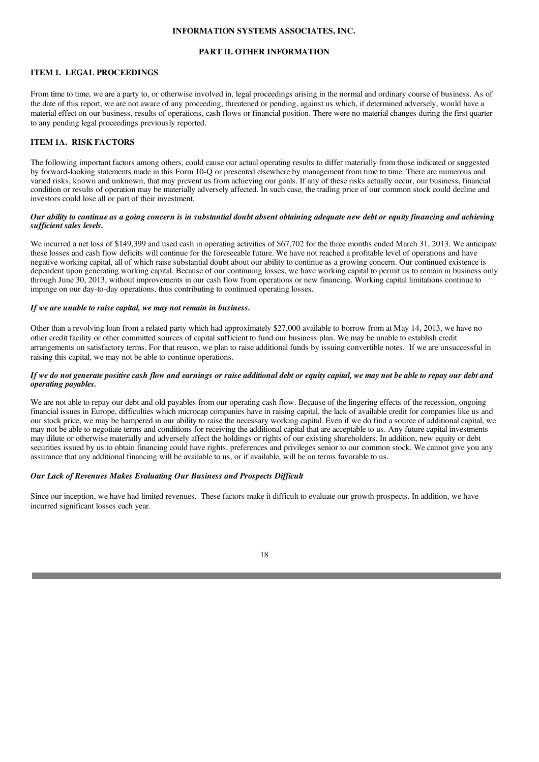### PART II. OTHER INFORMATION

#### ITEM 1. LEGAL PROCEEDINGS

From time to time, we are a party to, or otherwise involved in, legal proceedings arising in the normal and ordinary course of business. As of the date of this report, we are not aware of any proceeding, threatened or pending, against us which, if determined adversely, would have a material effect on our business, results of operations, cash flows or financial position. There were no material changes during the first quarter to any pending legal proceedings previously reported.

#### ITEM 1A. RISK FACTORS

The following important factors among others, could cause our actual operating results to differ materially from those indicated or suggested by forward-looking statements made in this Form 10-Q or presented elsewhere by management from time to time. There are numerous and varied risks, known and unknown, that may prevent us from achieving our goals. If any of these risks actually occur, our business, financial condition or results of operation may be materially adversely affected. In such case, the trading price of our common stock could decline and investors could lose all or part of their investment.

#### Our ability to continue as a going concern is in substantial doubt absent obtaining adequate new debt or equity financing and achieving *sufficient sales levels.*

We incurred a net loss of \$149,399 and used cash in operating activities of \$67,702 for the three months ended March 31, 2013. We anticipate these losses and cash flow deficits will continue for the foreseeable future. We have not reached a profitable level of operations and have negative working capital, all of which raise substantial doubt about our ability to continue as a growing concern. Our continued existence is dependent upon generating working capital. Because of our continuing losses, we have working capital to permit us to remain in business only through June 30, 2013, without improvements in our cash flow from operations or new financing. Working capital limitations continue to impinge on our day-to-day operations, thus contributing to continued operating losses.

#### *If we are unable to raise capital, we may not remain in business.*

Other than a revolving loan from a related party which had approximately \$27,000 available to borrow from at May 14, 2013, we have no other credit facility or other committed sources of capital sufficient to fund our business plan. We may be unable to establish credit arrangements on satisfactory terms. For that reason, we plan to raise additional funds by issuing convertible notes. If we are unsuccessful in raising this capital, we may not be able to continue operations.

#### If we do not generate positive cash flow and earnings or raise additional debt or equity capital, we may not be able to repay our debt and *operating payables.*

We are not able to repay our debt and old payables from our operating cash flow. Because of the lingering effects of the recession, ongoing financial issues in Europe, difficulties which microcap companies have in raising capital, the lack of available credit for companies like us and our stock price, we may be hampered in our ability to raise the necessary working capital. Even if we do find a source of additional capital, we may not be able to negotiate terms and conditions for receiving the additional capital that are acceptable to us. Any future capital investments may dilute or otherwise materially and adversely affect the holdings or rights of our existing shareholders. In addition, new equity or debt securities issued by us to obtain financing could have rights, preferences and privileges senior to our common stock. We cannot give you any assurance that any additional financing will be available to us, or if available, will be on terms favorable to us.

#### *Our Lack of Revenues Makes Evaluating Our Business and Prospects Difficult*

Since our inception, we have had limited revenues. These factors make it difficult to evaluate our growth prospects. In addition, we have incurred significant losses each year.

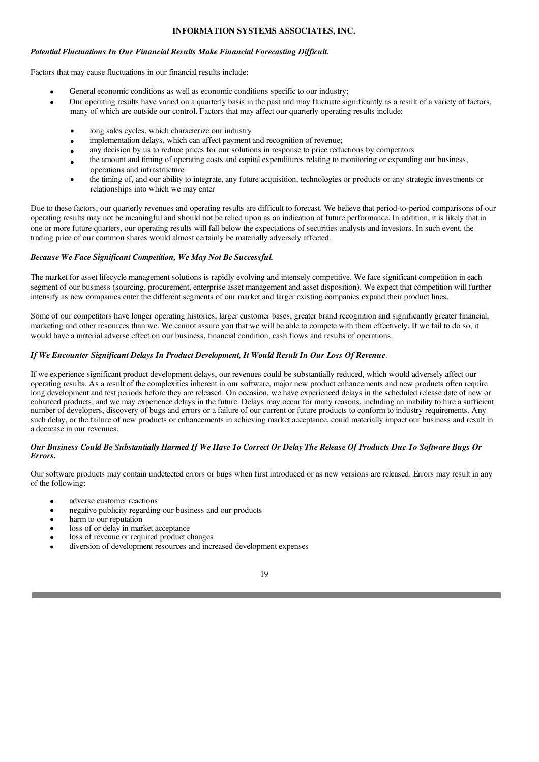#### *Potential Fluctuations In Our Financial Results Make Financial Forecasting Difficult.*

Factors that may cause fluctuations in our financial results include:

- · General economic conditions as well as economic conditions specific to our industry;
- · Our operating results have varied on a quarterly basis in the past and may fluctuate significantly as a result of a variety of factors, many of which are outside our control. Factors that may affect our quarterly operating results include:
	- · long sales cycles, which characterize our industry
	- · implementation delays, which can affect payment and recognition of revenue;
	- · any decision by us to reduce prices for our solutions in response to price reductions by competitors
	- · the amount and timing of operating costs and capital expenditures relating to monitoring or expanding our business, operations and infrastructure
	- · the timing of, and our ability to integrate, any future acquisition, technologies or products or any strategic investments or relationships into which we may enter

Due to these factors, our quarterly revenues and operating results are difficult to forecast. We believe that period-to-period comparisons of our operating results may not be meaningful and should not be relied upon as an indication of future performance. In addition, it is likely that in one or more future quarters, our operating results will fall below the expectations of securities analysts and investors. In such event, the trading price of our common shares would almost certainly be materially adversely affected.

#### *Because We Face Significant Competition, We May Not Be Successful.*

The market for asset lifecycle management solutions is rapidly evolving and intensely competitive. We face significant competition in each segment of our business (sourcing, procurement, enterprise asset management and asset disposition). We expect that competition will further intensify as new companies enter the different segments of our market and larger existing companies expand their product lines.

Some of our competitors have longer operating histories, larger customer bases, greater brand recognition and significantly greater financial, marketing and other resources than we. We cannot assure you that we will be able to compete with them effectively. If we fail to do so, it would have a material adverse effect on our business, financial condition, cash flows and results of operations.

#### *If We Encounter Significant Delays In Product Development, It Would Result In Our Loss Of Revenue*.

If we experience significant product development delays, our revenues could be substantially reduced, which would adversely affect our operating results. As a result of the complexities inherent in our software, major new product enhancements and new products often require long development and test periods before they are released. On occasion, we have experienced delays in the scheduled release date of new or enhanced products, and we may experience delays in the future. Delays may occur for many reasons, including an inability to hire a sufficient number of developers, discovery of bugs and errors or a failure of our current or future products to conform to industry requirements. Any such delay, or the failure of new products or enhancements in achieving market acceptance, could materially impact our business and result in a decrease in our revenues.

#### Our Business Could Be Substantially Harmed If We Have To Correct Or Delay The Release Of Products Due To Software Bugs Or *Errors.*

Our software products may contain undetected errors or bugs when first introduced or as new versions are released. Errors may result in any of the following:

- · adverse customer reactions
- · negative publicity regarding our business and our products
- · harm to our reputation
- · loss of or delay in market acceptance
- · loss of revenue or required product changes
- · diversion of development resources and increased development expenses

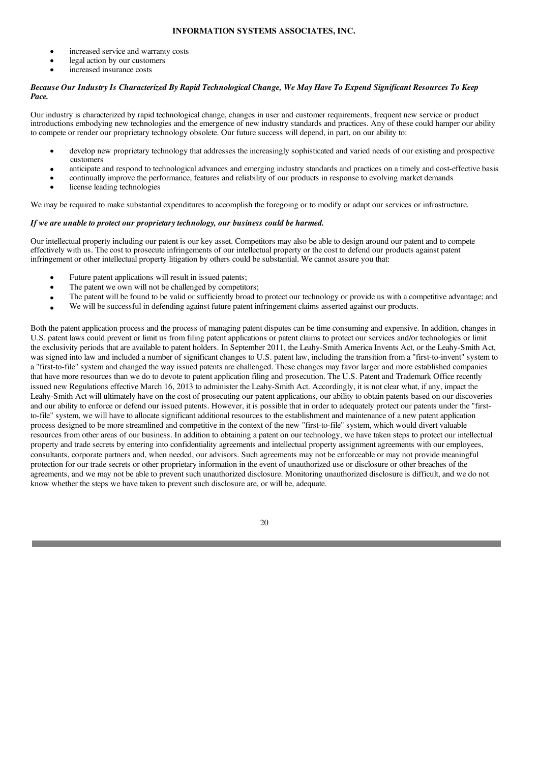- · increased service and warranty costs
- · legal action by our customers
- · increased insurance costs

#### Because Our Industry Is Characterized By Rapid Technological Change, We May Have To Expend Significant Resources To Keep *Pace.*

Our industry is characterized by rapid technological change, changes in user and customer requirements, frequent new service or product introductions embodying new technologies and the emergence of new industry standards and practices. Any of these could hamper our ability to compete or render our proprietary technology obsolete. Our future success will depend, in part, on our ability to:

- · develop new proprietary technology that addresses the increasingly sophisticated and varied needs of our existing and prospective customers
- · anticipate and respond to technological advances and emerging industry standards and practices on a timely and cost-effective basis
- · continually improve the performance, features and reliability of our products in response to evolving market demands
- · license leading technologies

We may be required to make substantial expenditures to accomplish the foregoing or to modify or adapt our services or infrastructure.

#### *If we are unable to protect our proprietary technology, our business could be harmed.*

Our intellectual property including our patent is our key asset. Competitors may also be able to design around our patent and to compete effectively with us. The cost to prosecute infringements of our intellectual property or the cost to defend our products against patent infringement or other intellectual property litigation by others could be substantial. We cannot assure you that:

- · Future patent applications will result in issued patents;
- · The patent we own will not be challenged by competitors;
- · The patent will be found to be valid or sufficiently broad to protect our technology or provide us with a competitive advantage; and
- · We will be successful in defending against future patent infringement claims asserted against our products.

Both the patent application process and the process of managing patent disputes can be time consuming and expensive. In addition, changes in U.S. patent laws could prevent or limit us from filing patent applications or patent claims to protect our services and/or technologies or limit the exclusivity periods that are available to patent holders. In September 2011, the Leahy-Smith America Invents Act, or the Leahy-Smith Act, was signed into law and included a number of significant changes to U.S. patent law, including the transition from a "first-to-invent" system to a "first-to-file" system and changed the way issued patents are challenged. These changes may favor larger and more established companies that have more resources than we do to devote to patent application filing and prosecution. The U.S. Patent and Trademark Office recently issued new Regulations effective March 16, 2013 to administer the Leahy-Smith Act. Accordingly, it is not clear what, if any, impact the Leahy-Smith Act will ultimately have on the cost of prosecuting our patent applications, our ability to obtain patents based on our discoveries and our ability to enforce or defend our issued patents. However, it is possible that in order to adequately protect our patents under the "firstto-file" system, we will have to allocate significant additional resources to the establishment and maintenance of a new patent application process designed to be more streamlined and competitive in the context of the new "first-to-file" system, which would divert valuable resources from other areas of our business. In addition to obtaining a patent on our technology, we have taken steps to protect our intellectual property and trade secrets by entering into confidentiality agreements and intellectual property assignment agreements with our employees, consultants, corporate partners and, when needed, our advisors. Such agreements may not be enforceable or may not provide meaningful protection for our trade secrets or other proprietary information in the event of unauthorized use or disclosure or other breaches of the agreements, and we may not be able to prevent such unauthorized disclosure. Monitoring unauthorized disclosure is difficult, and we do not know whether the steps we have taken to prevent such disclosure are, or will be, adequate.

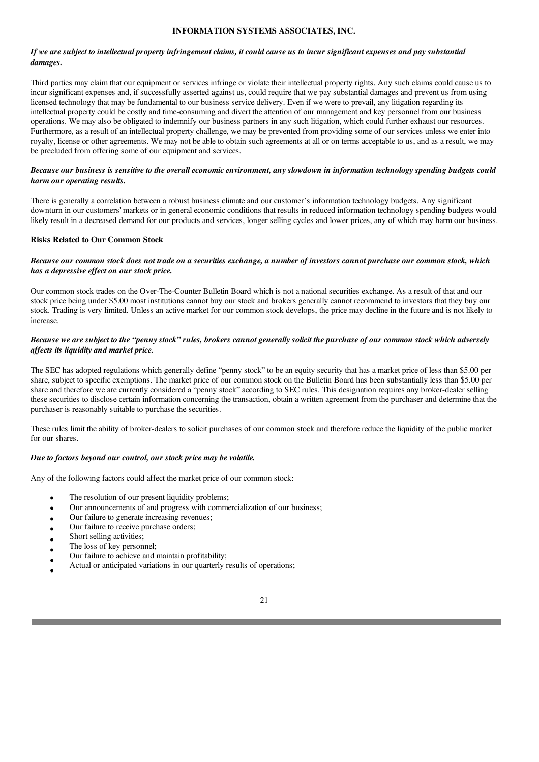#### If we are subject to intellectual property infringement claims, it could cause us to incur significant expenses and pay substantial *damages.*

Third parties may claim that our equipment or services infringe or violate their intellectual property rights. Any such claims could cause us to incur significant expenses and, if successfully asserted against us, could require that we pay substantial damages and prevent us from using licensed technology that may be fundamental to our business service delivery. Even if we were to prevail, any litigation regarding its intellectual property could be costly and time-consuming and divert the attention of our management and key personnel from our business operations. We may also be obligated to indemnify our business partners in any such litigation, which could further exhaust our resources. Furthermore, as a result of an intellectual property challenge, we may be prevented from providing some of our services unless we enter into royalty, license or other agreements. We may not be able to obtain such agreements at all or on terms acceptable to us, and as a result, we may be precluded from offering some of our equipment and services.

#### Because our business is sensitive to the overall economic environment, any slowdown in information technology spending budgets could *harm our operating results.*

There is generally a correlation between a robust business climate and our customer's information technology budgets. Any significant downturn in our customers' markets or in general economic conditions that results in reduced information technology spending budgets would likely result in a decreased demand for our products and services, longer selling cycles and lower prices, any of which may harm our business.

#### Risks Related to Our Common Stock

### Because our common stock does not trade on a securities exchange, a number of investors cannot purchase our common stock, which *has a depressive effect on our stock price.*

Our common stock trades on the Over-The-Counter Bulletin Board which is not a national securities exchange. As a result of that and our stock price being under \$5.00 most institutions cannot buy our stock and brokers generally cannot recommend to investors that they buy our stock. Trading is very limited. Unless an active market for our common stock develops, the price may decline in the future and is not likely to increase.

### Because we are subject to the "penny stock" rules, brokers cannot generally solicit the purchase of our common stock which adversely *affects its liquidity and market price.*

The SEC has adopted regulations which generally define "penny stock" to be an equity security that has a market price of less than \$5.00 per share, subject to specific exemptions. The market price of our common stock on the Bulletin Board has been substantially less than \$5.00 per share and therefore we are currently considered a "penny stock" according to SEC rules. This designation requires any broker-dealer selling these securities to disclose certain information concerning the transaction, obtain a written agreement from the purchaser and determine that the purchaser is reasonably suitable to purchase the securities.

These rules limit the ability of broker-dealers to solicit purchases of our common stock and therefore reduce the liquidity of the public market for our shares.

#### *Due to factors beyond our control, our stock price may be volatile.*

Any of the following factors could affect the market price of our common stock:

- · The resolution of our present liquidity problems;
- · Our announcements of and progress with commercialization of our business;
- · Our failure to generate increasing revenues;
- · Our failure to receive purchase orders;
- · Short selling activities;
- · The loss of key personnel;
- Our failure to achieve and maintain profitability;
- · · Actual or anticipated variations in our quarterly results of operations;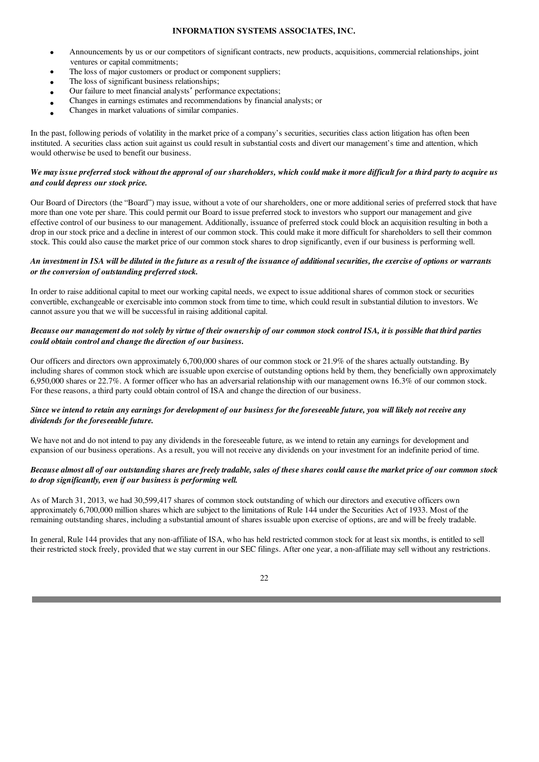- · Announcements by us or our competitors of significant contracts, new products, acquisitions, commercial relationships, joint ventures or capital commitments;
- · The loss of major customers or product or component suppliers;
- · The loss of significant business relationships;
- · Our failure to meet financial analysts' performance expectations;
- · Changes in earnings estimates and recommendations by financial analysts; or
- · Changes in market valuations of similar companies.

In the past, following periods of volatility in the market price of a company's securities, securities class action litigation has often been instituted. A securities class action suit against us could result in substantial costs and divert our management's time and attention, which would otherwise be used to benefit our business.

#### We may issue preferred stock without the approval of our shareholders, which could make it more difficult for a third party to acquire us *and could depress our stock price.*

Our Board of Directors (the "Board") may issue, without a vote of our shareholders, one or more additional series of preferred stock that have more than one vote per share. This could permit our Board to issue preferred stock to investors who support our management and give effective control of our business to our management. Additionally, issuance of preferred stock could block an acquisition resulting in both a drop in our stock price and a decline in interest of our common stock. This could make it more difficult for shareholders to sell their common stock. This could also cause the market price of our common stock shares to drop significantly, even if our business is performing well.

#### An investment in ISA will be diluted in the future as a result of the issuance of additional securities, the exercise of options or warrants *or the conversion of outstanding preferred stock.*

In order to raise additional capital to meet our working capital needs, we expect to issue additional shares of common stock or securities convertible, exchangeable or exercisable into common stock from time to time, which could result in substantial dilution to investors. We cannot assure you that we will be successful in raising additional capital.

# Because our management do not solely by virtue of their ownership of our common stock control ISA, it is possible that third parties *could obtain control and change the direction of our business.*

Our officers and directors own approximately 6,700,000 shares of our common stock or 21.9% of the shares actually outstanding. By including shares of common stock which are issuable upon exercise of outstanding options held by them, they beneficially own approximately 6,950,000 shares or 22.7%. A former officer who has an adversarial relationship with our management owns 16.3% of our common stock. For these reasons, a third party could obtain control of ISA and change the direction of our business.

# Since we intend to retain any earnings for development of our business for the foreseeable future, you will likely not receive any *dividends for the foreseeable future.*

We have not and do not intend to pay any dividends in the foreseeable future, as we intend to retain any earnings for development and expansion of our business operations. As a result, you will not receive any dividends on your investment for an indefinite period of time.

# Because almost all of our outstanding shares are freely tradable, sales of these shares could cause the market price of our common stock *to drop significantly, even if our business is performing well.*

As of March 31, 2013, we had 30,599,417 shares of common stock outstanding of which our directors and executive officers own approximately 6,700,000 million shares which are subject to the limitations of Rule 144 under the Securities Act of 1933. Most of the remaining outstanding shares, including a substantial amount of shares issuable upon exercise of options, are and will be freely tradable.

In general, Rule 144 provides that any non-affiliate of ISA, who has held restricted common stock for at least six months, is entitled to sell their restricted stock freely, provided that we stay current in our SEC filings. After one year, a non-affiliate may sell without any restrictions.

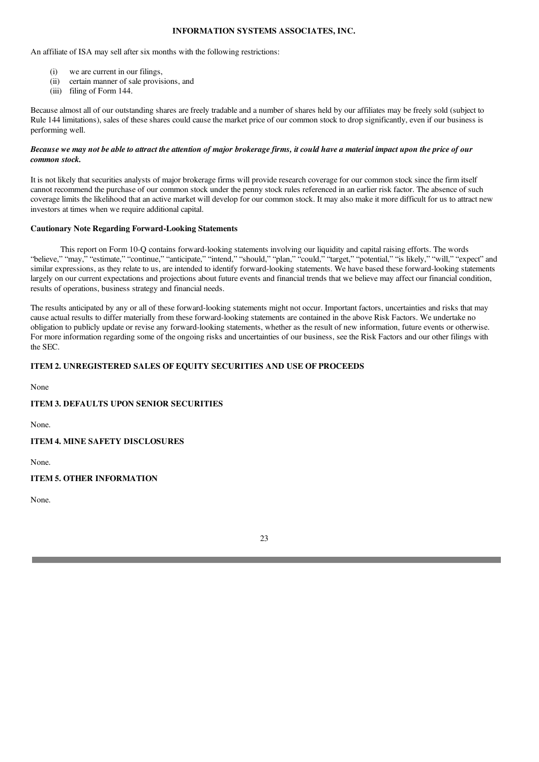An affiliate of ISA may sell after six months with the following restrictions:

- (i) we are current in our filings,
- (ii) certain manner of sale provisions, and
- (iii) filing of Form 144.

Because almost all of our outstanding shares are freely tradable and a number of shares held by our affiliates may be freely sold (subject to Rule 144 limitations), sales of these shares could cause the market price of our common stock to drop significantly, even if our business is performing well.

#### Because we may not be able to attract the attention of major brokerage firms, it could have a material impact upon the price of our *common stock.*

It is not likely that securities analysts of major brokerage firms will provide research coverage for our common stock since the firm itself cannot recommend the purchase of our common stock under the penny stock rules referenced in an earlier risk factor. The absence of such coverage limits the likelihood that an active market will develop for our common stock. It may also make it more difficult for us to attract new investors at times when we require additional capital.

#### Cautionary Note Regarding Forward-Looking Statements

This report on Form 10-Q contains forward-looking statements involving our liquidity and capital raising efforts. The words "believe," "may," "estimate," "continue," "anticipate," "intend," "should," "plan," "could," "target," "potential," "is likely," "will," "expect" and similar expressions, as they relate to us, are intended to identify forward-looking statements. We have based these forward-looking statements largely on our current expectations and projections about future events and financial trends that we believe may affect our financial condition, results of operations, business strategy and financial needs.

The results anticipated by any or all of these forward-looking statements might not occur. Important factors, uncertainties and risks that may cause actual results to differ materially from these forward-looking statements are contained in the above Risk Factors. We undertake no obligation to publicly update or revise any forward-looking statements, whether as the result of new information, future events or otherwise. For more information regarding some of the ongoing risks and uncertainties of our business, see the Risk Factors and our other filings with the SEC.

## ITEM 2. UNREGISTERED SALES OF EQUITY SECURITIES AND USE OF PROCEEDS

None

#### ITEM 3. DEFAULTS UPON SENIOR SECURITIES

None.

# ITEM 4. MINE SAFETY DISCLOSURES

None.

# ITEM 5. OTHER INFORMATION

None.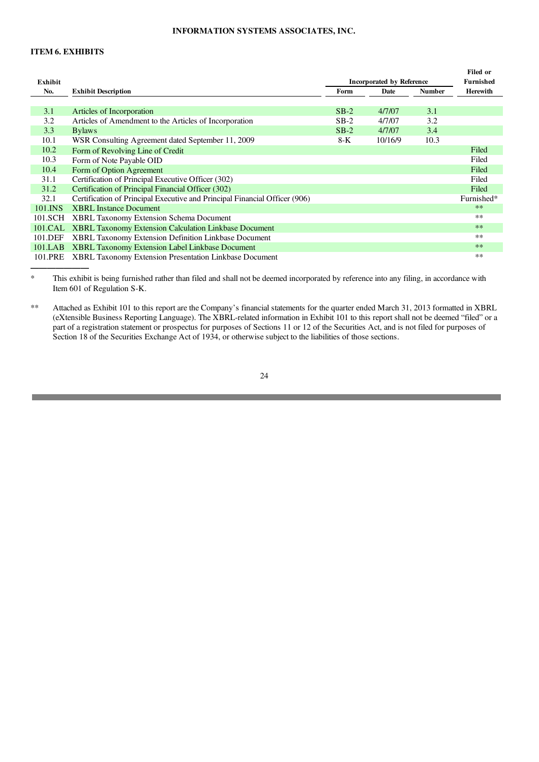# ITEM 6. EXHIBITS

———————

|         |                                                                            |        |                                  |               | <b>Filed or</b>  |
|---------|----------------------------------------------------------------------------|--------|----------------------------------|---------------|------------------|
| Exhibit |                                                                            |        | <b>Incorporated by Reference</b> |               | <b>Furnished</b> |
| No.     | <b>Exhibit Description</b>                                                 | Form   | Date                             | <b>Number</b> | Herewith         |
|         |                                                                            |        |                                  |               |                  |
| 3.1     | Articles of Incorporation                                                  | $SB-2$ | 4/7/07                           | 3.1           |                  |
| 3.2     | Articles of Amendment to the Articles of Incorporation                     | $SB-2$ | 4/7/07                           | 3.2           |                  |
| 3.3     | <b>Bylaws</b>                                                              | $SB-2$ | 4/7/07                           | 3.4           |                  |
| 10.1    | WSR Consulting Agreement dated September 11, 2009                          | $8-K$  | 10/16/9                          | 10.3          |                  |
| 10.2    | Form of Revolving Line of Credit                                           |        |                                  |               | Filed            |
| 10.3    | Form of Note Payable OID                                                   |        |                                  |               | Filed            |
| 10.4    | Form of Option Agreement                                                   |        |                                  |               | Filed            |
| 31.1    | Certification of Principal Executive Officer (302)                         |        |                                  |               | Filed            |
| 31.2    | Certification of Principal Financial Officer (302)                         |        |                                  |               | Filed            |
| 32.1    | Certification of Principal Executive and Principal Financial Officer (906) |        |                                  |               | Furnished*       |
| 101.INS | <b>XBRL</b> Instance Document                                              |        |                                  |               | $***$            |
| 101.SCH | <b>XBRL Taxonomy Extension Schema Document</b>                             |        |                                  |               | $***$            |
| 101.CAL | <b>XBRL Taxonomy Extension Calculation Linkbase Document</b>               |        |                                  |               | **               |
| 101.DEF | XBRL Taxonomy Extension Definition Linkbase Document                       |        |                                  |               | **               |
| 101.LAB | <b>XBRL Taxonomy Extension Label Linkbase Document</b>                     |        |                                  |               | $**$             |
| 101.PRE | <b>XBRL Taxonomy Extension Presentation Linkbase Document</b>              |        |                                  |               | **               |

\* This exhibit is being furnished rather than filed and shall not be deemed incorporated by reference into any filing, in accordance with Item 601 of Regulation S-K.

\*\* Attached as Exhibit 101 to this report are the Company's financial statements for the quarter ended March 31, 2013 formatted in XBRL (eXtensible Business Reporting Language). The XBRL-related information in Exhibit 101 to this report shall not be deemed "filed" or a part of a registration statement or prospectus for purposes of Sections 11 or 12 of the Securities Act, and is not filed for purposes of Section 18 of the Securities Exchange Act of 1934, or otherwise subject to the liabilities of those sections.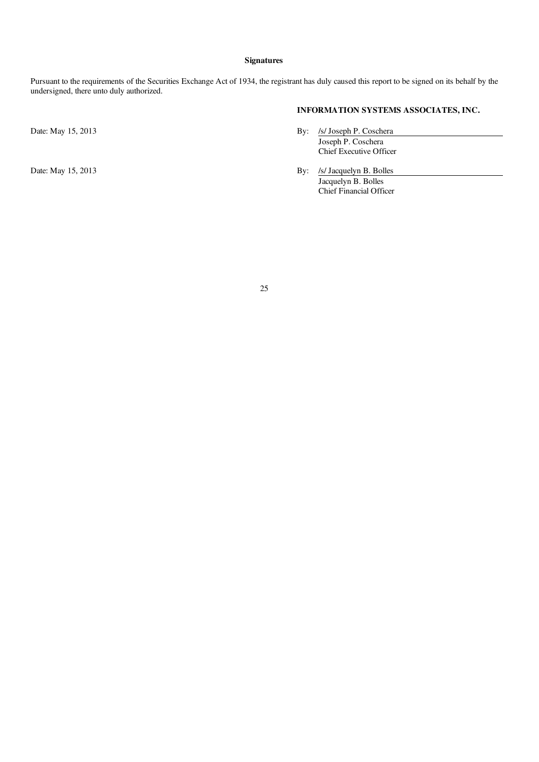### Signatures

Pursuant to the requirements of the Securities Exchange Act of 1934, the registrant has duly caused this report to be signed on its behalf by the undersigned, there unto duly authorized.

# INFORMATION SYSTEMS ASSOCIATES, INC.

Date: May 15, 2013 By: /s/ Joseph P. Coschera

Joseph P. Coschera Chief Executive Officer

Date: May 15, 2013 By: /s/ Jacquelyn B. Bolles Jacquelyn B. Bolles Chief Financial Officer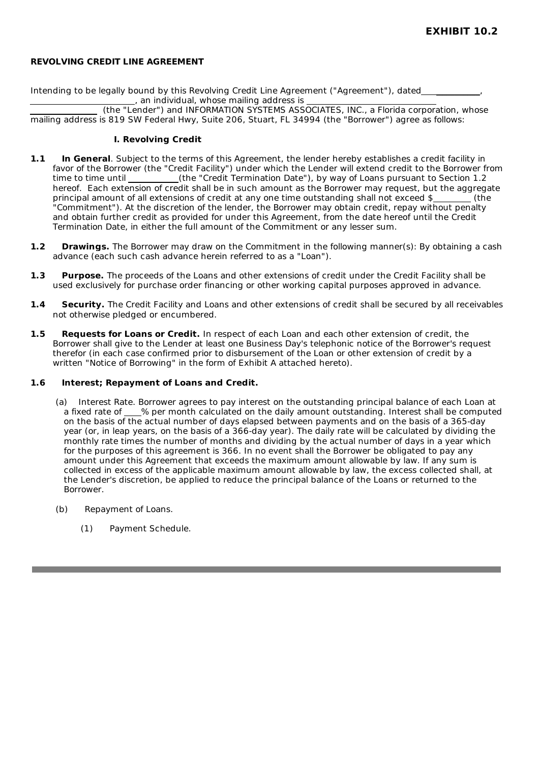# **REVOLVING CREDIT LINE AGREEMENT**

Intending to be legally bound by this Revolving Credit Line Agreement ("Agreement"), dated

, an individual, whose mailing address is

(the "Lender") and INFORMATION SYSTEMS ASSOCIATES, INC., a Florida corporation, whose mailing address is 819 SW Federal Hwy, Suite 206, Stuart, FL 34994 (the "Borrower") agree as follows:

# **I. Revolving Credit**

- **1.1 In General**. Subject to the terms of this Agreement, the lender hereby establishes a credit facility in favor of the Borrower (the "Credit Facility") under which the Lender will extend credit to the Borrower from time to time until \_\_\_\_\_\_\_\_\_\_(the "Credit Termination Date"), by way of Loans pursuant to Section 1.2 hereof. Each extension of credit shall be in such amount as the Borrower may request, but the aggregate principal amount of all extensions of credit at any one time outstanding shall not exceed \$  $\blacksquare$ "Commitment"). At the discretion of the lender, the Borrower may obtain credit, repay without penalty and obtain further credit as provided for under this Agreement, from the date hereof until the Credit Termination Date, in either the full amount of the Commitment or any lesser sum.
- **1.2 Drawings.** The Borrower may draw on the Commitment in the following manner(s): By obtaining a cash advance (each such cash advance herein referred to as a "Loan").
- **1.3 Purpose.** The proceeds of the Loans and other extensions of credit under the Credit Facility shall be used exclusively for purchase order financing or other working capital purposes approved in advance.
- **1.4 Security.** The Credit Facility and Loans and other extensions of credit shall be secured by all receivables not otherwise pledged or encumbered.
- **1.5 Requests for Loans or Credit.** In respect of each Loan and each other extension of credit, the Borrower shall give to the Lender at least one Business Day's telephonic notice of the Borrower's request therefor (in each case confirmed prior to disbursement of the Loan or other extension of credit by a written "Notice of Borrowing" in the form of Exhibit A attached hereto).

# **1.6 Interest; Repayment of Loans and Credit.**

- (a) Interest Rate. Borrower agrees to pay interest on the outstanding principal balance of each Loan at a fixed rate of 30% per month calculated on the daily amount outstanding. Interest shall be computed on the basis of the actual number of days elapsed between payments and on the basis of a 365-day year (or, in leap years, on the basis of a 366-day year). The daily rate will be calculated by dividing the monthly rate times the number of months and dividing by the actual number of days in a year which for the purposes of this agreement is 366. In no event shall the Borrower be obligated to pay any amount under this Agreement that exceeds the maximum amount allowable by law. If any sum is collected in excess of the applicable maximum amount allowable by law, the excess collected shall, at the Lender's discretion, be applied to reduce the principal balance of the Loans or returned to the Borrower.
- (b) Repayment of Loans.
	- (1) Payment Schedule.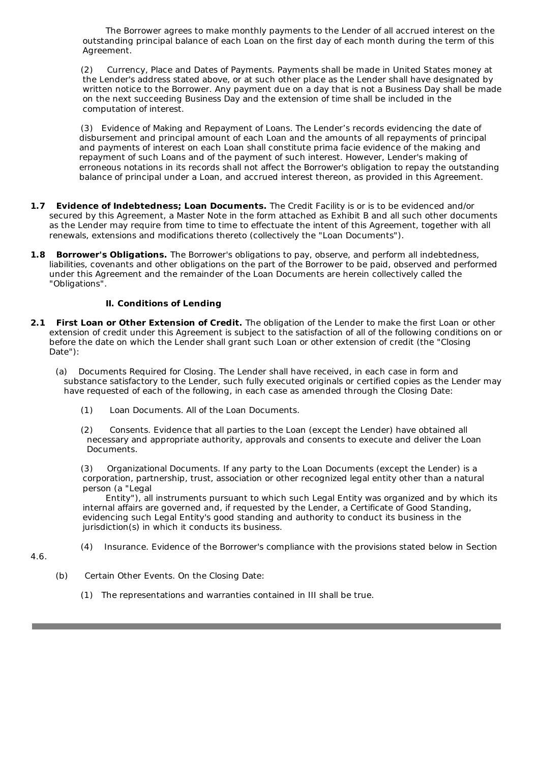The Borrower agrees to make monthly payments to the Lender of all accrued interest on the outstanding principal balance of each Loan on the first day of each month during the term of this Agreement.

(2) Currency, Place and Dates of Payments. Payments shall be made in United States money at the Lender's address stated above, or at such other place as the Lender shall have designated by written notice to the Borrower. Any payment due on a day that is not a Business Day shall be made on the next succeeding Business Day and the extension of time shall be included in the computation of interest.

(3) Evidence of Making and Repayment of Loans. The Lender's records evidencing the date of disbursement and principal amount of each Loan and the amounts of all repayments of principal and payments of interest on each Loan shall constitute prima facie evidence of the making and repayment of such Loans and of the payment of such interest. However, Lender's making of erroneous notations in its records shall not affect the Borrower's obligation to repay the outstanding balance of principal under a Loan, and accrued interest thereon, as provided in this Agreement.

- **1.7 Evidence of Indebtedness; Loan Documents.** The Credit Facility is or is to be evidenced and/or secured by this Agreement, a Master Note in the form attached as Exhibit B and all such other documents as the Lender may require from time to time to effectuate the intent of this Agreement, together with all renewals, extensions and modifications thereto (collectively the "Loan Documents").
- **1.8 Borrower's Obligations.** The Borrower's obligations to pay, observe, and perform all indebtedness, liabilities, covenants and other obligations on the part of the Borrower to be paid, observed and performed under this Agreement and the remainder of the Loan Documents are herein collectively called the "Obligations".

# **II. Conditions of Lending**

- **2.1 First Loan or Other Extension of Credit.** The obligation of the Lender to make the first Loan or other extension of credit under this Agreement is subject to the satisfaction of all of the following conditions on or before the date on which the Lender shall grant such Loan or other extension of credit (the "Closing Date"):
	- (a) Documents Required for Closing. The Lender shall have received, in each case in form and substance satisfactory to the Lender, such fully executed originals or certified copies as the Lender may have requested of each of the following, in each case as amended through the Closing Date:
		- (1) Loan Documents. All of the Loan Documents.
		- (2) Consents. Evidence that all parties to the Loan (except the Lender) have obtained all necessary and appropriate authority, approvals and consents to execute and deliver the Loan Documents.

(3) Organizational Documents. If any party to the Loan Documents (except the Lender) is a corporation, partnership, trust, association or other recognized legal entity other than a natural person (a "Legal

Entity"), all instruments pursuant to which such Legal Entity was organized and by which its internal affairs are governed and, if requested by the Lender, a Certificate of Good Standing, evidencing such Legal Entity's good standing and authority to conduct its business in the jurisdiction(s) in which it conducts its business.

(4) Insurance. Evidence of the Borrower's compliance with the provisions stated below in Section

4.6.

- (b) Certain Other Events. On the Closing Date:
	- (1) The representations and warranties contained in III shall be true.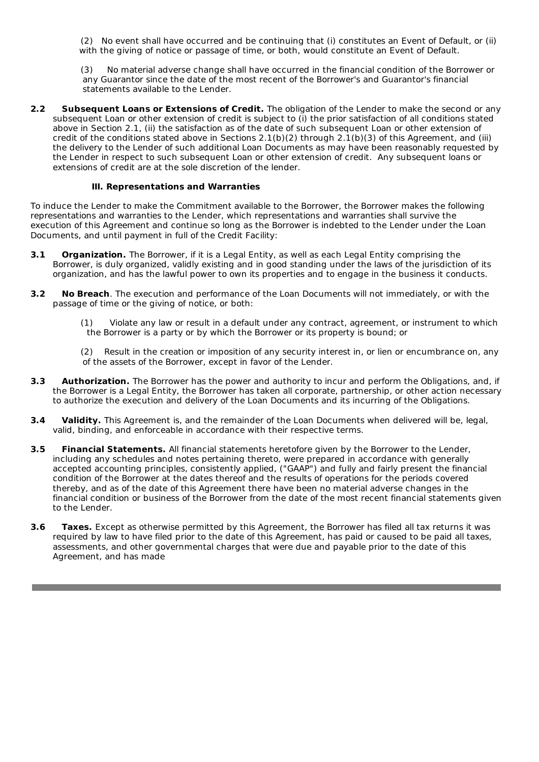(2) No event shall have occurred and be continuing that (i) constitutes an Event of Default, or (ii) with the giving of notice or passage of time, or both, would constitute an Event of Default.

(3) No material adverse change shall have occurred in the financial condition of the Borrower or any Guarantor since the date of the most recent of the Borrower's and Guarantor's financial statements available to the Lender.

**2.2 Subsequent Loans or Extensions of Credit.** The obligation of the Lender to make the second or any subsequent Loan or other extension of credit is subject to (i) the prior satisfaction of all conditions stated above in Section 2.1, (ii) the satisfaction as of the date of such subsequent Loan or other extension of credit of the conditions stated above in Sections 2.1(b)(2) through 2.1(b)(3) of this Agreement, and (iii) the delivery to the Lender of such additional Loan Documents as may have been reasonably requested by the Lender in respect to such subsequent Loan or other extension of credit. Any subsequent loans or extensions of credit are at the sole discretion of the lender.

# **III. Representations and Warranties**

To induce the Lender to make the Commitment available to the Borrower, the Borrower makes the following representations and warranties to the Lender, which representations and warranties shall survive the execution of this Agreement and continue so long as the Borrower is indebted to the Lender under the Loan Documents, and until payment in full of the Credit Facility:

- **3.1 Organization.** The Borrower, if it is a Legal Entity, as well as each Legal Entity comprising the Borrower, is duly organized, validly existing and in good standing under the laws of the jurisdiction of its organization, and has the lawful power to own its properties and to engage in the business it conducts.
- **3.2 No Breach**. The execution and performance of the Loan Documents will not immediately, or with the passage of time or the giving of notice, or both:
	- (1) Violate any law or result in a default under any contract, agreement, or instrument to which the Borrower is a party or by which the Borrower or its property is bound; or
	- (2) Result in the creation or imposition of any security interest in, or lien or encumbrance on, any of the assets of the Borrower, except in favor of the Lender.
- **3.3 Authorization.** The Borrower has the power and authority to incur and perform the Obligations, and, if the Borrower is a Legal Entity, the Borrower has taken all corporate, partnership, or other action necessary to authorize the execution and delivery of the Loan Documents and its incurring of the Obligations.
- **3.4 Validity.** This Agreement is, and the remainder of the Loan Documents when delivered will be, legal, valid, binding, and enforceable in accordance with their respective terms.
- **3.5 Financial Statements.** All financial statements heretofore given by the Borrower to the Lender, including any schedules and notes pertaining thereto, were prepared in accordance with generally accepted accounting principles, consistently applied, ("GAAP") and fully and fairly present the financial condition of the Borrower at the dates thereof and the results of operations for the periods covered thereby, and as of the date of this Agreement there have been no material adverse changes in the financial condition or business of the Borrower from the date of the most recent financial statements given to the Lender.
- **3.6 Taxes.** Except as otherwise permitted by this Agreement, the Borrower has filed all tax returns it was required by law to have filed prior to the date of this Agreement, has paid or caused to be paid all taxes, assessments, and other governmental charges that were due and payable prior to the date of this Agreement, and has made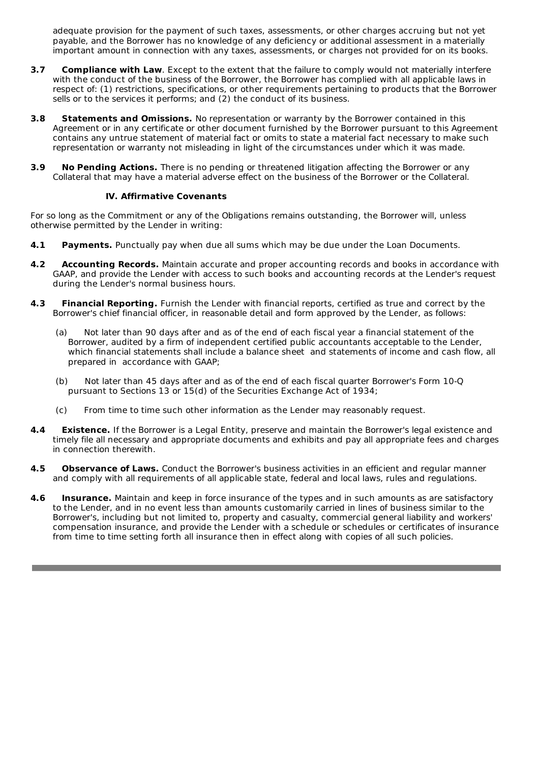adequate provision for the payment of such taxes, assessments, or other charges accruing but not yet payable, and the Borrower has no knowledge of any deficiency or additional assessment in a materially important amount in connection with any taxes, assessments, or charges not provided for on its books.

- **3.7 Compliance with Law**. Except to the extent that the failure to comply would not materially interfere with the conduct of the business of the Borrower, the Borrower has complied with all applicable laws in respect of: (1) restrictions, specifications, or other requirements pertaining to products that the Borrower sells or to the services it performs; and (2) the conduct of its business.
- **3.8 Statements and Omissions.** No representation or warranty by the Borrower contained in this Agreement or in any certificate or other document furnished by the Borrower pursuant to this Agreement contains any untrue statement of material fact or omits to state a material fact necessary to make such representation or warranty not misleading in light of the circumstances under which it was made.
- **3.9 No Pending Actions.** There is no pending or threatened litigation affecting the Borrower or any Collateral that may have a material adverse effect on the business of the Borrower or the Collateral.

# **IV. Affirmative Covenants**

For so long as the Commitment or any of the Obligations remains outstanding, the Borrower will, unless otherwise permitted by the Lender in writing:

- **4.1 Payments.** Punctually pay when due all sums which may be due under the Loan Documents.
- **4.2 Accounting Records.** Maintain accurate and proper accounting records and books in accordance with GAAP, and provide the Lender with access to such books and accounting records at the Lender's request during the Lender's normal business hours.
- **4.3 Financial Reporting.** Furnish the Lender with financial reports, certified as true and correct by the Borrower's chief financial officer, in reasonable detail and form approved by the Lender, as follows:
	- (a) Not later than 90 days after and as of the end of each fiscal year a financial statement of the Borrower, audited by a firm of independent certified public accountants acceptable to the Lender, which financial statements shall include a balance sheet and statements of income and cash flow, all prepared in accordance with GAAP;
	- (b) Not later than 45 days after and as of the end of each fiscal quarter Borrower's Form 10-Q pursuant to Sections 13 or 15(d) of the Securities Exchange Act of 1934;
	- (c) From time to time such other information as the Lender may reasonably request.
- **4.4 Existence.** If the Borrower is a Legal Entity, preserve and maintain the Borrower's legal existence and timely file all necessary and appropriate documents and exhibits and pay all appropriate fees and charges in connection therewith.
- **4.5 Observance of Laws.** Conduct the Borrower's business activities in an efficient and regular manner and comply with all requirements of all applicable state, federal and local laws, rules and regulations.
- **4.6 Insurance.** Maintain and keep in force insurance of the types and in such amounts as are satisfactory to the Lender, and in no event less than amounts customarily carried in lines of business similar to the Borrower's, including but not limited to, property and casualty, commercial general liability and workers' compensation insurance, and provide the Lender with a schedule or schedules or certificates of insurance from time to time setting forth all insurance then in effect along with copies of all such policies.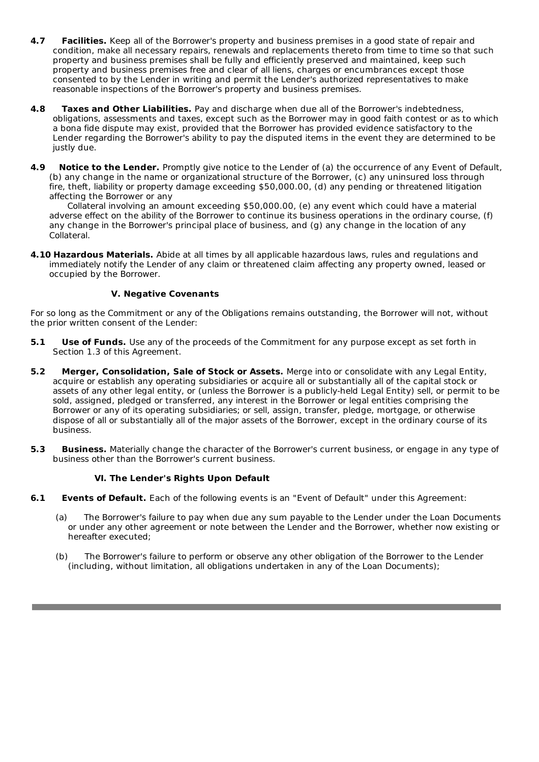- **4.7 Facilities.** Keep all of the Borrower's property and business premises in a good state of repair and condition, make all necessary repairs, renewals and replacements thereto from time to time so that such property and business premises shall be fully and efficiently preserved and maintained, keep such property and business premises free and clear of all liens, charges or encumbrances except those consented to by the Lender in writing and permit the Lender's authorized representatives to make reasonable inspections of the Borrower's property and business premises.
- **4.8 Taxes and Other Liabilities.** Pay and discharge when due all of the Borrower's indebtedness, obligations, assessments and taxes, except such as the Borrower may in good faith contest or as to which a bona fide dispute may exist, provided that the Borrower has provided evidence satisfactory to the Lender regarding the Borrower's ability to pay the disputed items in the event they are determined to be justly due.
- **4.9 Notice to the Lender.** Promptly give notice to the Lender of (a) the occurrence of any Event of Default, (b) any change in the name or organizational structure of the Borrower, (c) any uninsured loss through fire, theft, liability or property damage exceeding \$50,000.00, (d) any pending or threatened litigation affecting the Borrower or any

Collateral involving an amount exceeding \$50,000.00, (e) any event which could have a material adverse effect on the ability of the Borrower to continue its business operations in the ordinary course, (f) any change in the Borrower's principal place of business, and (g) any change in the location of any Collateral.

**4.10 Hazardous Materials.** Abide at all times by all applicable hazardous laws, rules and regulations and immediately notify the Lender of any claim or threatened claim affecting any property owned, leased or occupied by the Borrower.

# **V. Negative Covenants**

For so long as the Commitment or any of the Obligations remains outstanding, the Borrower will not, without the prior written consent of the Lender:

- **5.1 Use of Funds.** Use any of the proceeds of the Commitment for any purpose except as set forth in Section 1.3 of this Agreement.
- **5.2 Merger, Consolidation, Sale of Stock or Assets.** Merge into or consolidate with any Legal Entity, acquire or establish any operating subsidiaries or acquire all or substantially all of the capital stock or assets of any other legal entity, or (unless the Borrower is a publicly-held Legal Entity) sell, or permit to be sold, assigned, pledged or transferred, any interest in the Borrower or legal entities comprising the Borrower or any of its operating subsidiaries; or sell, assign, transfer, pledge, mortgage, or otherwise dispose of all or substantially all of the major assets of the Borrower, except in the ordinary course of its business.
- **5.3 Business.** Materially change the character of the Borrower's current business, or engage in any type of business other than the Borrower's current business.

# **VI. The Lender's Rights Upon Default**

- **6.1 Events of Default.** Each of the following events is an "Event of Default" under this Agreement:
	- (a) The Borrower's failure to pay when due any sum payable to the Lender under the Loan Documents or under any other agreement or note between the Lender and the Borrower, whether now existing or hereafter executed;
	- (b) The Borrower's failure to perform or observe any other obligation of the Borrower to the Lender (including, without limitation, all obligations undertaken in any of the Loan Documents);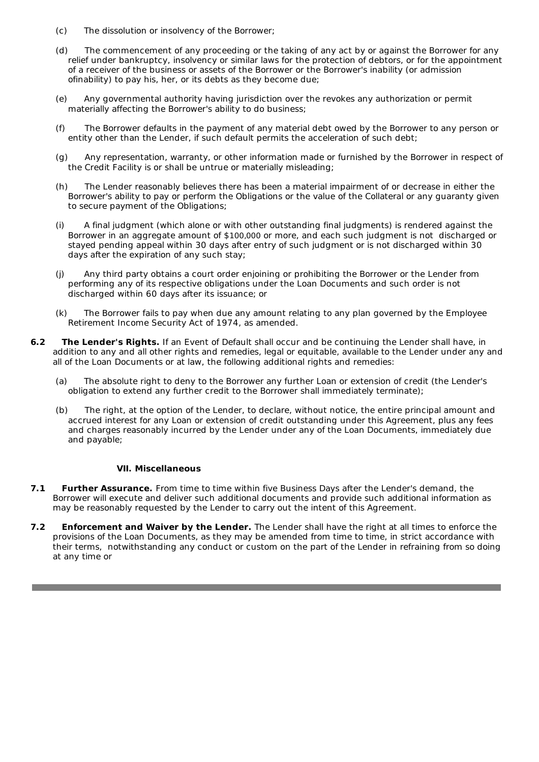- (c) The dissolution or insolvency of the Borrower;
- (d) The commencement of any proceeding or the taking of any act by or against the Borrower for any relief under bankruptcy, insolvency or similar laws for the protection of debtors, or for the appointment of a receiver of the business or assets of the Borrower or the Borrower's inability (or admission ofinability) to pay his, her, or its debts as they become due;
- (e) Any governmental authority having jurisdiction over the revokes any authorization or permit materially affecting the Borrower's ability to do business;
- (f) The Borrower defaults in the payment of any material debt owed by the Borrower to any person or entity other than the Lender, if such default permits the acceleration of such debt;
- (g) Any representation, warranty, or other information made or furnished by the Borrower in respect of the Credit Facility is or shall be untrue or materially misleading;
- (h) The Lender reasonably believes there has been a material impairment of or decrease in either the Borrower's ability to pay or perform the Obligations or the value of the Collateral or any guaranty given to secure payment of the Obligations;
- (i) A final judgment (which alone or with other outstanding final judgments) is rendered against the Borrower in an aggregate amount of \$100,000 or more, and each such judgment is not discharged or stayed pending appeal within 30 days after entry of such judgment or is not discharged within 30 days after the expiration of any such stay;
- (j) Any third party obtains a court order enjoining or prohibiting the Borrower or the Lender from performing any of its respective obligations under the Loan Documents and such order is not discharged within 60 days after its issuance; or
- (k) The Borrower fails to pay when due any amount relating to any plan governed by the Employee Retirement Income Security Act of 1974, as amended.
- **6.2 The Lender's Rights.** If an Event of Default shall occur and be continuing the Lender shall have, in addition to any and all other rights and remedies, legal or equitable, available to the Lender under any and all of the Loan Documents or at law, the following additional rights and remedies:
	- (a) The absolute right to deny to the Borrower any further Loan or extension of credit (the Lender's obligation to extend any further credit to the Borrower shall immediately terminate);
	- (b) The right, at the option of the Lender, to declare, without notice, the entire principal amount and accrued interest for any Loan or extension of credit outstanding under this Agreement, plus any fees and charges reasonably incurred by the Lender under any of the Loan Documents, immediately due and payable;

# **VII. Miscellaneous**

- **7.1 Further Assurance.** From time to time within five Business Days after the Lender's demand, the Borrower will execute and deliver such additional documents and provide such additional information as may be reasonably requested by the Lender to carry out the intent of this Agreement.
- **7.2 Enforcement and Waiver by the Lender.** The Lender shall have the right at all times to enforce the provisions of the Loan Documents, as they may be amended from time to time, in strict accordance with their terms, notwithstanding any conduct or custom on the part of the Lender in refraining from so doing at any time or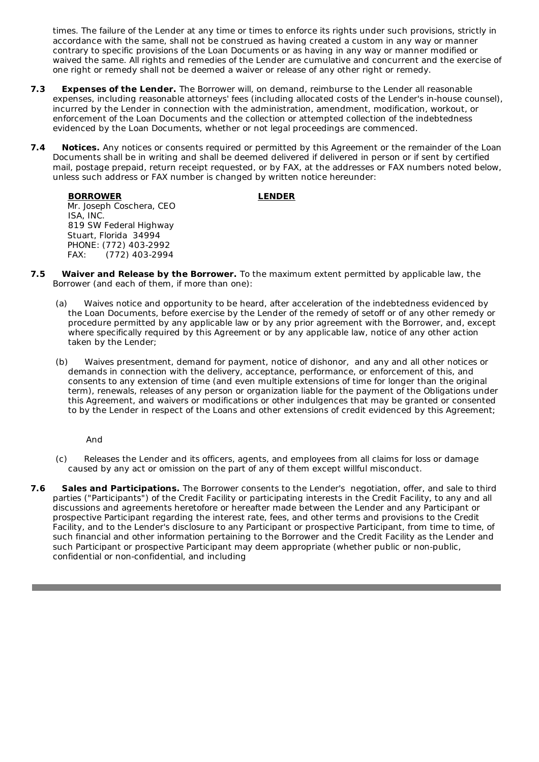times. The failure of the Lender at any time or times to enforce its rights under such provisions, strictly in accordance with the same, shall not be construed as having created a custom in any way or manner contrary to specific provisions of the Loan Documents or as having in any way or manner modified or waived the same. All rights and remedies of the Lender are cumulative and concurrent and the exercise of one right or remedy shall not be deemed a waiver or release of any other right or remedy.

- **7.3 Expenses of the Lender.** The Borrower will, on demand, reimburse to the Lender all reasonable expenses, including reasonable attorneys' fees (including allocated costs of the Lender's in-house counsel), incurred by the Lender in connection with the administration, amendment, modification, workout, or enforcement of the Loan Documents and the collection or attempted collection of the indebtedness evidenced by the Loan Documents, whether or not legal proceedings are commenced.
- **7.4 Notices.** Any notices or consents required or permitted by this Agreement or the remainder of the Loan Documents shall be in writing and shall be deemed delivered if delivered in person or if sent by certified mail, postage prepaid, return receipt requested, or by FAX, at the addresses or FAX numbers noted below, unless such address or FAX number is changed by written notice hereunder:

# **BORROWER**

# **LENDER**

ISA, INC. Mr. Joseph Coschera, CEO 819 SW Federal Highway Stuart, Florida 34994 PHONE: (772) 403-2992 (772) 403-2994

- **7.5 Waiver and Release by the Borrower.** To the maximum extent permitted by applicable law, the Borrower (and each of them, if more than one):
	- (a) Waives notice and opportunity to be heard, after acceleration of the indebtedness evidenced by the Loan Documents, before exercise by the Lender of the remedy of setoff or of any other remedy or procedure permitted by any applicable law or by any prior agreement with the Borrower, and, except where specifically required by this Agreement or by any applicable law, notice of any other action taken by the Lender;
	- (b) Waives presentment, demand for payment, notice of dishonor, and any and all other notices or demands in connection with the delivery, acceptance, performance, or enforcement of this, and consents to any extension of time (and even multiple extensions of time for longer than the original term), renewals, releases of any person or organization liable for the payment of the Obligations under this Agreement, and waivers or modifications or other indulgences that may be granted or consented to by the Lender in respect of the Loans and other extensions of credit evidenced by this Agreement;

# And

- (c) Releases the Lender and its officers, agents, and employees from all claims for loss or damage caused by any act or omission on the part of any of them except willful misconduct.
- **7.6 Sales and Participations.** The Borrower consents to the Lender's negotiation, offer, and sale to third parties ("Participants") of the Credit Facility or participating interests in the Credit Facility, to any and all discussions and agreements heretofore or hereafter made between the Lender and any Participant or prospective Participant regarding the interest rate, fees, and other terms and provisions to the Credit Facility, and to the Lender's disclosure to any Participant or prospective Participant, from time to time, of such financial and other information pertaining to the Borrower and the Credit Facility as the Lender and such Participant or prospective Participant may deem appropriate (whether public or non-public, confidential or non-confidential, and including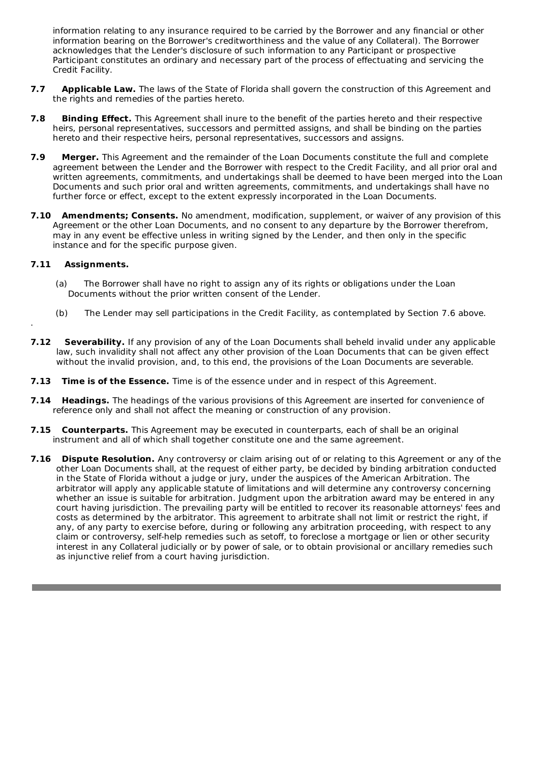information relating to any insurance required to be carried by the Borrower and any financial or other information bearing on the Borrower's creditworthiness and the value of any Collateral). The Borrower acknowledges that the Lender's disclosure of such information to any Participant or prospective Participant constitutes an ordinary and necessary part of the process of effectuating and servicing the Credit Facility.

- **7.7 Applicable Law.** The laws of the State of Florida shall govern the construction of this Agreement and the rights and remedies of the parties hereto.
- **7.8 Binding Effect.** This Agreement shall inure to the benefit of the parties hereto and their respective heirs, personal representatives, successors and permitted assigns, and shall be binding on the parties hereto and their respective heirs, personal representatives, successors and assigns.
- **7.9 Merger.** This Agreement and the remainder of the Loan Documents constitute the full and complete agreement between the Lender and the Borrower with respect to the Credit Facility, and all prior oral and written agreements, commitments, and undertakings shall be deemed to have been merged into the Loan Documents and such prior oral and written agreements, commitments, and undertakings shall have no further force or effect, except to the extent expressly incorporated in the Loan Documents.
- **7.10 Amendments; Consents.** No amendment, modification, supplement, or waiver of any provision of this Agreement or the other Loan Documents, and no consent to any departure by the Borrower therefrom, may in any event be effective unless in writing signed by the Lender, and then only in the specific instance and for the specific purpose given.

# **7.11 Assignments.**

.

- (a) The Borrower shall have no right to assign any of its rights or obligations under the Loan Documents without the prior written consent of the Lender.
- (b) The Lender may sell participations in the Credit Facility, as contemplated by Section 7.6 above.
- **7.12 Severability.** If any provision of any of the Loan Documents shall beheld invalid under any applicable law, such invalidity shall not affect any other provision of the Loan Documents that can be given effect without the invalid provision, and, to this end, the provisions of the Loan Documents are severable.
- **7.13 Time is of the Essence.** Time is of the essence under and in respect of this Agreement.
- **7.14 Headings.** The headings of the various provisions of this Agreement are inserted for convenience of reference only and shall not affect the meaning or construction of any provision.
- **7.15 Counterparts.** This Agreement may be executed in counterparts, each of shall be an original instrument and all of which shall together constitute one and the same agreement.
- **7.16 Dispute Resolution.** Any controversy or claim arising out of or relating to this Agreement or any of the other Loan Documents shall, at the request of either party, be decided by binding arbitration conducted in the State of Florida without a judge or jury, under the auspices of the American Arbitration. The arbitrator will apply any applicable statute of limitations and will determine any controversy concerning whether an issue is suitable for arbitration. Judgment upon the arbitration award may be entered in any court having jurisdiction. The prevailing party will be entitled to recover its reasonable attorneys' fees and costs as determined by the arbitrator. This agreement to arbitrate shall not limit or restrict the right, if any, of any party to exercise before, during or following any arbitration proceeding, with respect to any claim or controversy, self-help remedies such as setoff, to foreclose a mortgage or lien or other security interest in any Collateral judicially or by power of sale, or to obtain provisional or ancillary remedies such as injunctive relief from a court having jurisdiction.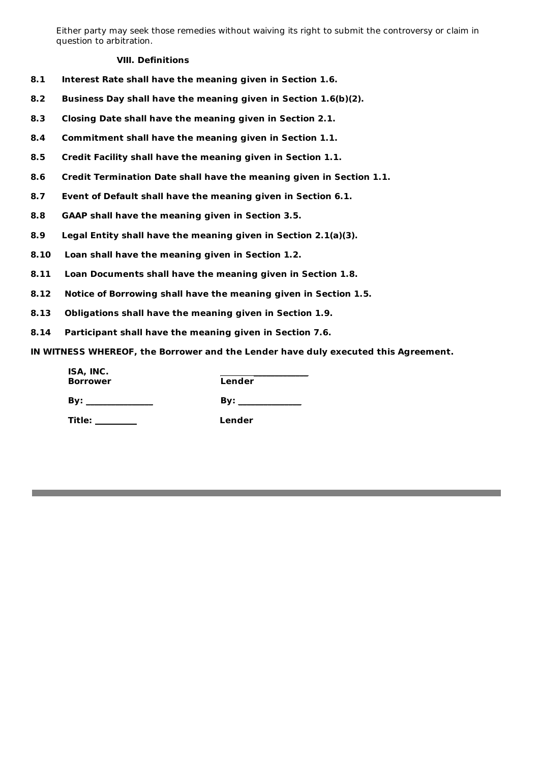Either party may seek those remedies without waiving its right to submit the controversy or claim in question to arbitration.

# **VIII. Definitions**

- **8.1 Interest Rate shall have the meaning given in Section 1.6.**
- **8.2 Business Day shall have the meaning given in Section 1.6(b)(2).**
- **8.3 Closing Date shall have the meaning given in Section 2.1.**
- **8.4 Commitment shall have the meaning given in Section 1.1.**
- **8.5 Credit Facility shall have the meaning given in Section 1.1.**
- **8.6 Credit Termination Date shall have the meaning given in Section 1.1.**
- **8.7 Event of Default shall have the meaning given in Section 6.1.**
- **8.8 GAAP shall have the meaning given in Section 3.5.**
- **8.9 Legal Entity shall have the meaning given in Section 2.1(a)(3).**
- **8.10 Loan shall have the meaning given in Section 1.2.**
- **8.11 Loan Documents shall have the meaning given in Section 1.8.**
- **8.12 Notice of Borrowing shall have the meaning given in Section 1.5.**
- **8.13 Obligations shall have the meaning given in Section 1.9.**
- **8.14 Participant shall have the meaning given in Section 7.6.**

**IN WITNESS WHEREOF, the Borrower and the Lender have duly executed this Agreement.**

| ISA, INC.<br><b>Borrower</b> | Lender |  |  |  |  |
|------------------------------|--------|--|--|--|--|
| Bv:                          | Bv:    |  |  |  |  |
| Title:                       | Lender |  |  |  |  |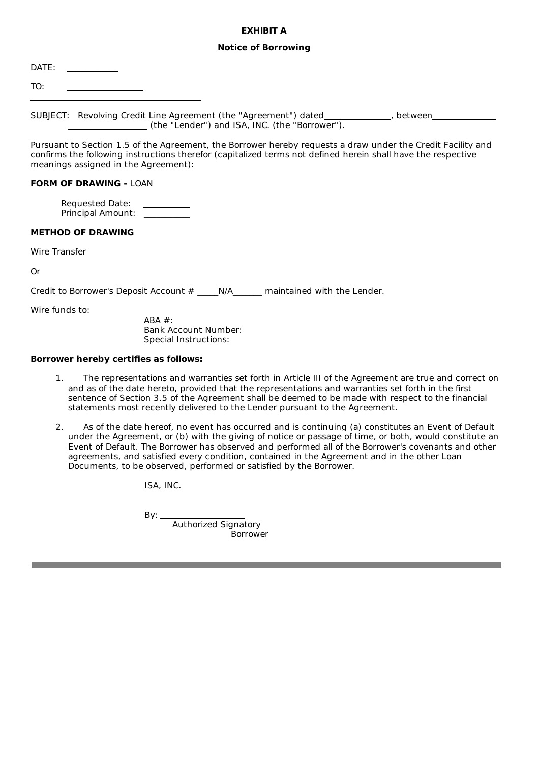# **EXHIBIT A**

# **Notice of Borrowing**

DATE: \_\_\_\_\_\_\_\_\_\_\_\_

TO:  $\mathcal{L}=\mathcal{L}^{\mathcal{L}}$  , where  $\mathcal{L}^{\mathcal{L}}$ 

SUBJECT: Revolving Credit Line Agreement (the "Agreement") dated\_\_\_\_\_\_\_\_\_\_\_\_\_\_, between\_ \_\_\_\_\_\_\_\_\_\_\_\_\_\_\_\_\_\_\_ (the "Lender") and ISA, INC. (the "Borrower").

Pursuant to Section 1.5 of the Agreement, the Borrower hereby requests a draw under the Credit Facility and confirms the following instructions therefor (capitalized terms not defined herein shall have the respective meanings assigned in the Agreement):

# **FORM OF DRAWING -** LOAN

Requested Date: Principal Amount:  $\overline{\phantom{a}}$  , where  $\overline{\phantom{a}}$  $\mathcal{L}=\mathcal{L}$ 

# **METHOD OF DRAWING**

Wire Transfer

Or

Credit to Borrower's Deposit Account  $#$  \_\_\_\_\_ N/A\_\_\_\_\_\_\_ maintained with the Lender.

Wire funds to:

 $ABA \#$ : Bank Account Number: Special Instructions:

# **Borrower hereby certifies as follows:**

- 1. The representations and warranties set forth in Article III of the Agreement are true and correct on and as of the date hereto, provided that the representations and warranties set forth in the first sentence of Section 3.5 of the Agreement shall be deemed to be made with respect to the financial statements most recently delivered to the Lender pursuant to the Agreement.
- 2. As of the date hereof, no event has occurred and is continuing (a) constitutes an Event of Default under the Agreement, or (b) with the giving of notice or passage of time, or both, would constitute an Event of Default. The Borrower has observed and performed all of the Borrower's covenants and other agreements, and satisfied every condition, contained in the Agreement and in the other Loan Documents, to be observed, performed or satisfied by the Borrower.

ISA, INC.

| By: |                      |
|-----|----------------------|
|     | Authorized Signatory |
|     | <b>Borrower</b>      |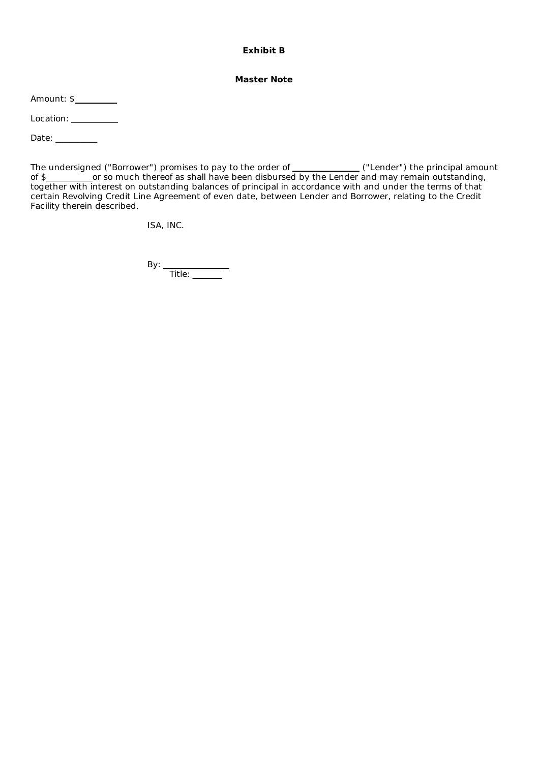# **Exhibit B**

# **Master Note**

Amount: \$\_\_\_\_\_\_\_\_\_\_

Location: \_\_\_\_\_\_\_\_\_\_\_

Date: \_\_\_\_\_\_\_\_\_\_

The undersigned ("Borrower") promises to pay to the order of \_\_\_\_\_\_\_\_\_\_\_\_\_\_\_\_ ("Lender") the principal amount of \$\_\_\_\_\_\_\_\_\_\_\_or so much thereof as shall have been disbursed by the Lender and may remain outstanding, together with interest on outstanding balances of principal in accordance with and under the terms of that certain Revolving Credit Line Agreement of even date, between Lender and Borrower, relating to the Credit Facility therein described.

ISA, INC.

By: \_\_\_\_\_\_\_\_\_\_\_\_\_\_\_\_\_\_ Title: \_\_\_\_\_\_\_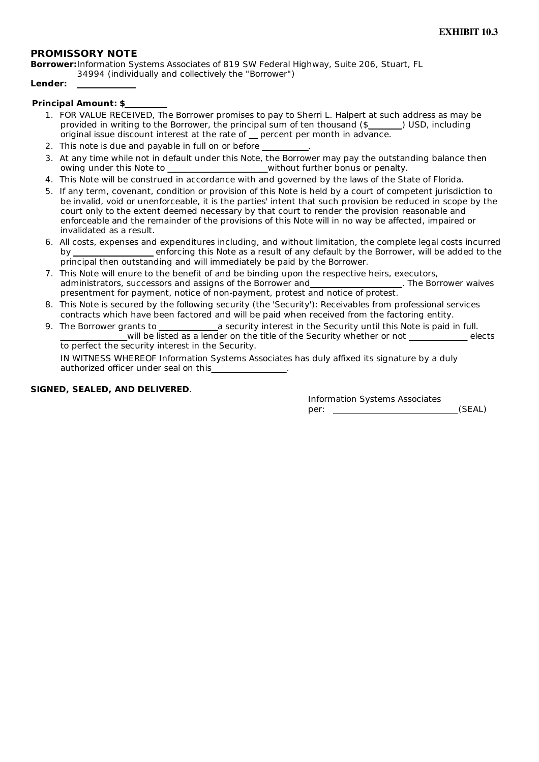# **PROMISSORY NOTE**

**Borrower:**Information Systems Associates of 819 SW Federal Highway, Suite 206, Stuart, FL 34994 (individually and collectively the "Borrower")

# Lender:

# **Principal Amount: \$\_\_\_\_\_\_\_\_\_\_**

- 1. FOR VALUE RECEIVED, The Borrower promises to pay to Sherri L. Halpert at such address as may be provided in writing to the Borrower, the principal sum of ten thousand (\$\_\_\_\_\_\_\_\_) USD, including original issue discount interest at the rate of \_\_ percent per month in advance.
- 2. This note is due and payable in full on or before \_\_\_\_\_\_\_\_\_\_.
- 3. At any time while not in default under this Note, the Borrower may pay the outstanding balance then owing under this Note to \_\_\_\_\_\_\_\_\_\_\_\_\_\_\_\_\_\_\_\_\_\_\_\_without further bonus or penalty.
- 4. This Note will be construed in accordance with and governed by the laws of the State of Florida.
- 5. If any term, covenant, condition or provision of this Note is held by a court of competent jurisdiction to be invalid, void or unenforceable, it is the parties' intent that such provision be reduced in scope by the court only to the extent deemed necessary by that court to render the provision reasonable and enforceable and the remainder of the provisions of this Note will in no way be affected, impaired or invalidated as a result.
- 6. All costs, expenses and expenditures including, and without limitation, the complete legal costs incurred by **Example 2** enforcing this Note as a result of any default by the Borrower, will be added to the principal then outstanding and will immediately be paid by the Borrower.
- 7. This Note will enure to the benefit of and be binding upon the respective heirs, executors, administrators, successors and assigns of the Borrower and\_\_\_\_\_\_\_\_\_\_\_\_\_\_\_\_\_\_\_\_\_\_. The Borrower waives presentment for payment, notice of non-payment, protest and notice of protest.
- 8. This Note is secured by the following security (the 'Security'): Receivables from professional services contracts which have been factored and will be paid when received from the factoring entity.
- 9. The Borrower grants to a security interest in the Security until this Note is paid in full. will be listed as a lender on the title of the Security whether or not \_\_\_\_\_\_\_\_\_\_\_\_\_ elects to perfect the security interest in the Security.

IN WITNESS WHEREOF Information Systems Associates has duly affixed its signature by a duly authorized officer under seal on this

# **SIGNED, SEALED, AND DELIVERED**.

Information Systems Associates per: (SEAL)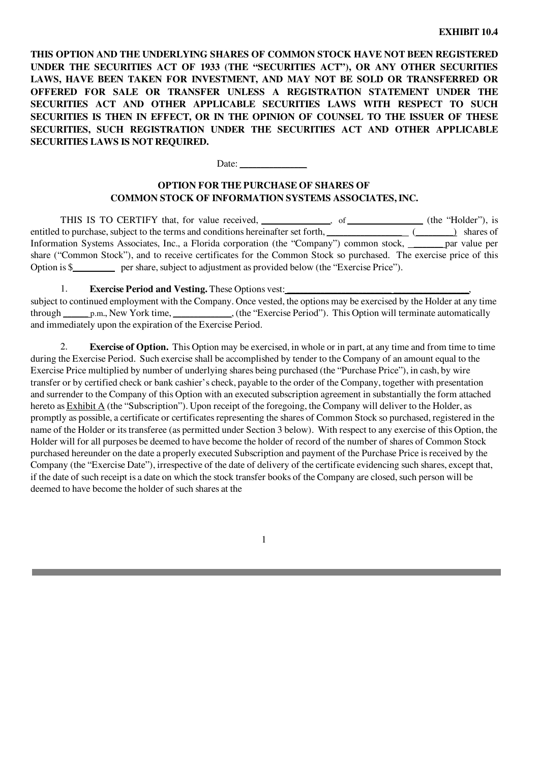THIS OPTION AND THE UNDERLYING SHARES OF COMMON STOCK HAVE NOT BEEN REGISTERED UNDER THE SECURITIES ACT OF 1933 (THE "SECURITIES ACT"), OR ANY OTHER SECURITIES LAWS, HAVE BEEN TAKEN FOR INVESTMENT, AND MAY NOT BE SOLD OR TRANSFERRED OR OFFERED FOR SALE OR TRANSFER UNLESS A REGISTRATION STATEMENT UNDER THE SECURITIES ACT AND OTHER APPLICABLE SECURITIES LAWS WITH RESPECT TO SUCH SECURITIES IS THEN IN EFFECT, OR IN THE OPINION OF COUNSEL TO THE ISSUER OF THESE SECURITIES, SUCH REGISTRATION UNDER THE SECURITIES ACT AND OTHER APPLICABLE SECURITIES LAWS IS NOT REQUIRED.

Date:

# OPTION FOR THE PURCHASE OF SHARES OF COMMON STOCK OF INFORMATION SYSTEMS ASSOCIATES,INC.

THIS IS TO CERTIFY that, for value received, \_\_\_\_\_\_\_\_\_\_\_, of \_\_\_\_\_\_\_\_\_\_\_\_\_\_ (the "Holder"), is entitled to purchase, subject to the terms and conditions hereinafter set forth, \_\_\_\_\_\_\_\_\_\_\_\_\_\_\_\_\_\_\_\_\_\_(\_\_\_\_\_\_\_\_\_) shares of Information Systems Associates, Inc., a Florida corporation (the "Company") common stock, \_\_\_\_\_\_\_ par value per share ("Common Stock"), and to receive certificates for the Common Stock so purchased. The exercise price of this Option is \$\_\_\_\_\_\_\_\_\_ per share, subject to adjustment as provided below (the "Exercise Price").

1. Exercise Period and Vesting. These Options vest:

subject to continued employment with the Company. Once vested, the options may be exercised by the Holder at any time through \_\_\_\_\_ p.m., New York time, \_\_\_\_\_\_\_\_\_\_\_, (the "Exercise Period"). This Option will terminate automatically and immediately upon the expiration of the Exercise Period.

2. Exercise of Option. This Option may be exercised, in whole or in part, at any time and from time to time during the Exercise Period. Such exercise shall be accomplished by tender to the Company of an amount equal to the Exercise Price multiplied by number of underlying shares being purchased (the "Purchase Price"), in cash, by wire transfer or by certified check or bank cashier's check, payable to the order of the Company, together with presentation and surrender to the Company of this Option with an executed subscription agreement in substantially the form attached hereto as Exhibit A (the "Subscription"). Upon receipt of the foregoing, the Company will deliver to the Holder, as promptly as possible, a certificate or certificates representing the shares of Common Stock so purchased, registered in the name of the Holder or itstransferee (as permitted under Section 3 below). With respect to any exercise of this Option, the Holder will for all purposes be deemed to have become the holder of record of the number of shares of Common Stock purchased hereunder on the date a properly executed Subscription and payment of the Purchase Price is received by the Company (the "Exercise Date"), irrespective of the date of delivery of the certificate evidencing such shares, except that, if the date of such receipt is a date on which the stock transfer books of the Company are closed, such person will be deemed to have become the holder of such shares at the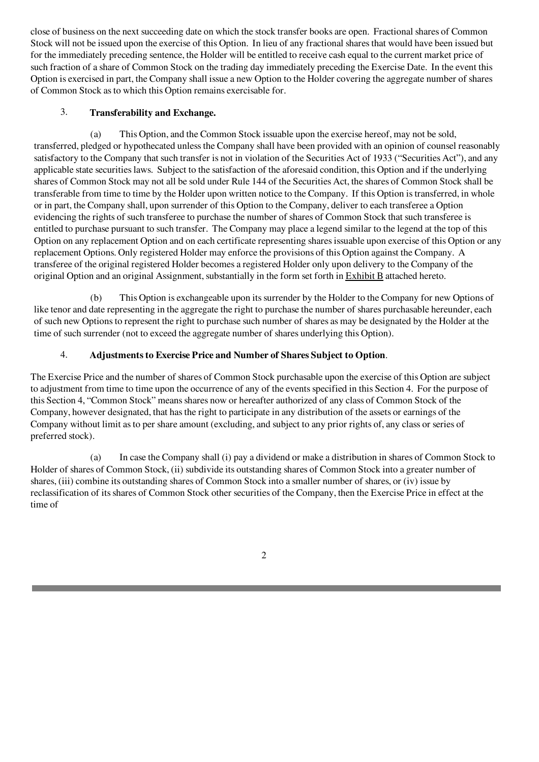close of business on the next succeeding date on which the stock transfer books are open. Fractional shares of Common Stock will not be issued upon the exercise of this Option. In lieu of any fractional sharesthat would have been issued but for the immediately preceding sentence, the Holder will be entitled to receive cash equal to the current market price of such fraction of a share of Common Stock on the trading day immediately preceding the Exercise Date. In the event this Option is exercised in part, the Company shall issue a new Option to the Holder covering the aggregate number of shares of Common Stock asto which this Option remains exercisable for.

#### 3. Transferability and Exchange.

(a) This Option, and the Common Stock issuable upon the exercise hereof, may not be sold, transferred, pledged or hypothecated unless the Company shall have been provided with an opinion of counsel reasonably satisfactory to the Company that such transfer is not in violation of the Securities Act of 1933 ("Securities Act"), and any applicable state securitieslaws. Subject to the satisfaction of the aforesaid condition, this Option and if the underlying shares of Common Stock may not all be sold under Rule 144 of the Securities Act, the shares of Common Stock shall be transferable from time to time by the Holder upon written notice to the Company. If this Option istransferred, in whole or in part, the Company shall, upon surrender of this Option to the Company, deliver to each transferee a Option evidencing the rights of such transferee to purchase the number of shares of Common Stock that such transferee is entitled to purchase pursuant to such transfer. The Company may place a legend similar to the legend at the top of this Option on any replacement Option and on each certificate representing shares issuable upon exercise of this Option or any replacement Options. Only registered Holder may enforce the provisions of this Option against the Company. A transferee of the original registered Holder becomes a registered Holder only upon delivery to the Company of the original Option and an original Assignment, substantially in the form set forth in Exhibit B attached hereto.

 $(b)$ This Option is exchangeable upon itssurrender by the Holder to the Company for new Options of like tenor and date representing in the aggregate the right to purchase the number of shares purchasable hereunder, each of such new Optionsto represent the right to purchase such number of shares as may be designated by the Holder at the time of such surrender (not to exceed the aggregate number of shares underlying this Option).

#### 4. Adjustments to Exercise Price and Number of Shares Subject to Option.

The Exercise Price and the number of shares of Common Stock purchasable upon the exercise of this Option are subject to adjustment from time to time upon the occurrence of any of the eventsspecified in this Section 4. For the purpose of this Section 4, "Common Stock" meansshares now or hereafter authorized of any class of Common Stock of the Company, however designated, that hasthe right to participate in any distribution of the assets or earnings of the Company without limit asto per share amount (excluding, and subject to any prior rights of, any class or series of preferred stock).

(a) In case the Company shall (i) pay a dividend or make a distribution in shares of Common Stock to Holder of shares of Common Stock, (ii) subdivide its outstanding shares of Common Stock into a greater number of shares, (iii) combine its outstanding shares of Common Stock into a smaller number of shares, or (iv) issue by reclassification of itsshares of Common Stock other securities of the Company, then the Exercise Price in effect at the time of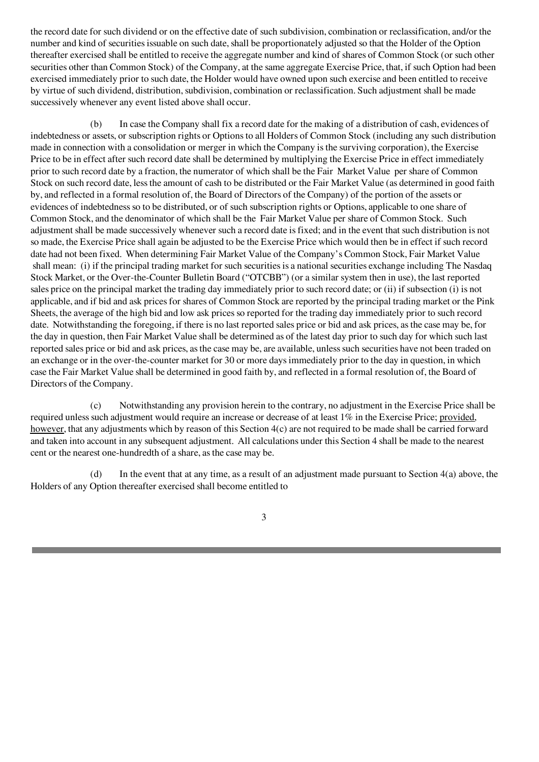the record date for such dividend or on the effective date of such subdivision, combination or reclassification, and/or the number and kind of securities issuable on such date, shall be proportionately adjusted so that the Holder of the Option thereafter exercised shall be entitled to receive the aggregate number and kind of shares of Common Stock (or such other securities other than Common Stock) of the Company, at the same aggregate Exercise Price, that, if such Option had been exercised immediately prior to such date, the Holder would have owned upon such exercise and been entitled to receive by virtue of such dividend, distribution,subdivision, combination or reclassification. Such adjustment shall be made successively whenever any event listed above shall occur.

(b) In case the Company shall fix a record date for the making of a distribution of cash, evidences of indebtedness or assets, or subscription rights or Optionsto all Holders of Common Stock (including any such distribution made in connection with a consolidation or merger in which the Company isthe surviving corporation), the Exercise Price to be in effect after such record date shall be determined by multiplying the Exercise Price in effect immediately prior to such record date by a fraction, the numerator of which shall be the Fair Market Value per share of Common Stock on such record date, less the amount of cash to be distributed or the Fair Market Value (as determined in good faith by, and reflected in a formal resolution of, the Board of Directors of the Company) of the portion of the assets or evidences of indebtedness so to be distributed, or of such subscription rights or Options, applicable to one share of Common Stock, and the denominator of which shall be the Fair Market Value per share of Common Stock. Such adjustment shall be made successively whenever such a record date isfixed; and in the event that such distribution is not so made, the Exercise Price shall again be adjusted to be the Exercise Price which would then be in effect if such record date had not been fixed. When determining Fair Market Value of the Company's Common Stock, Fair Market Value shall mean: (i) if the principal trading market for such securities is a national securities exchange including The Nasdaq Stock Market, or the Over-the-Counter Bulletin Board ("OTCBB") (or a similar system then in use), the last reported sales price on the principal market the trading day immediately prior to such record date; or (ii) if subsection (i) is not applicable, and if bid and ask prices for shares of Common Stock are reported by the principal trading market or the Pink Sheets, the average of the high bid and low ask prices so reported for the trading day immediately prior to such record date. Notwithstanding the foregoing, if there is no last reported sales price or bid and ask prices, asthe case may be, for the day in question, then Fair Market Value shall be determined as of the latest day prior to such day for which such last reported sales price or bid and ask prices, as the case may be, are available, unless such securities have not been traded on an exchange or in the over-the-counter market for 30 or more daysimmediately prior to the day in question, in which case the Fair Market Value shall be determined in good faith by, and reflected in a formal resolution of, the Board of Directors of the Company.

(c) Notwithstanding any provision herein to the contrary, no adjustment in the Exercise Price shall be required unless such adjustment would require an increase or decrease of at least 1% in the Exercise Price; provided, however, that any adjustments which by reason of this Section 4(c) are not required to be made shall be carried forward and taken into account in any subsequent adjustment. All calculations under this Section 4 shall be made to the nearest cent or the nearest one-hundredth of a share, asthe case may be.

(d) In the event that at any time, as a result of an adjustment made pursuant to Section 4(a) above, the Holders of any Option thereafter exercised shall become entitled to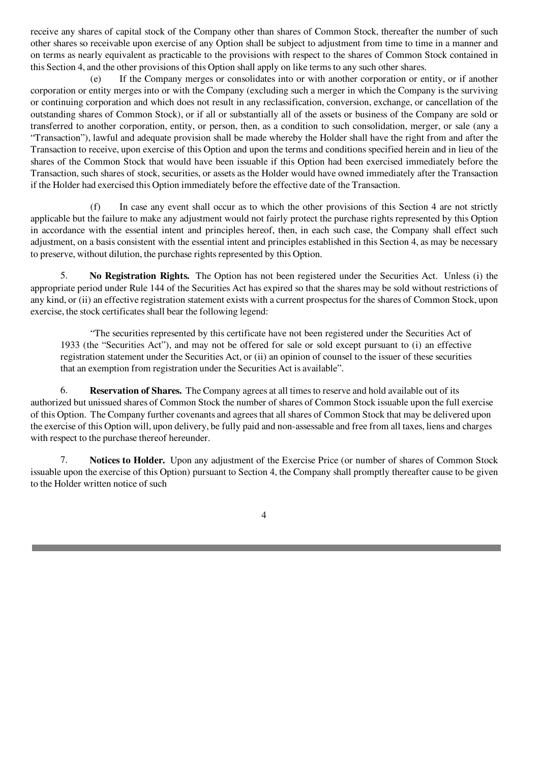receive any shares of capital stock of the Company other than shares of Common Stock, thereafter the number of such other shares so receivable upon exercise of any Option shall be subject to adjustment from time to time in a manner and on terms as nearly equivalent as practicable to the provisions with respect to the shares of Common Stock contained in this Section 4, and the other provisions of this Option shall apply on like termsto any such other shares.

(e) If the Company merges or consolidates into or with another corporation or entity, or if another corporation or entity merges into or with the Company (excluding such a merger in which the Company is the surviving or continuing corporation and which does not result in any reclassification, conversion, exchange, or cancellation of the outstanding shares of Common Stock), or if all or substantially all of the assets or business of the Company are sold or transferred to another corporation, entity, or person, then, as a condition to such consolidation, merger, or sale (any a "Transaction"), lawful and adequate provision shall be made whereby the Holder shall have the right from and after the Transaction to receive, upon exercise of this Option and upon the terms and conditions specified herein and in lieu of the shares of the Common Stock that would have been issuable if this Option had been exercised immediately before the Transaction, such shares of stock, securities, or assets as the Holder would have owned immediately after the Transaction if the Holder had exercised this Option immediately before the effective date of the Transaction.

(f) In case any event shall occur as to which the other provisions of this Section 4 are not strictly applicable but the failure to make any adjustment would not fairly protect the purchase rights represented by this Option in accordance with the essential intent and principles hereof, then, in each such case, the Company shall effect such adjustment, on a basis consistent with the essential intent and principles established in this Section 4, as may be necessary to preserve, without dilution, the purchase rights represented by this Option.

5. No Registration Rights. The Option has not been registered under the Securities Act. Unless (i) the appropriate period under Rule 144 of the Securities Act has expired so that the shares may be sold without restrictions of any kind, or (ii) an effective registration statement exists with a current prospectus for the shares of Common Stock, upon exercise, the stock certificates shall bear the following legend:

"The securities represented by this certificate have not been registered under the Securities Act of 1933 (the "Securities Act"), and may not be offered for sale or sold except pursuant to (i) an effective registration statement under the Securities Act, or (ii) an opinion of counsel to the issuer of these securities that an exemption from registration under the Securities Act is available".

6. Reservation of Shares. The Company agrees at all times to reserve and hold available out of its authorized but unissued shares of Common Stock the number of shares of Common Stock issuable upon the full exercise of this Option. The Company further covenants and agreesthat all shares of Common Stock that may be delivered upon the exercise of this Option will, upon delivery, be fully paid and non-assessable and free from all taxes, liens and charges with respect to the purchase thereof hereunder.

7. Notices to Holder. Upon any adjustment of the Exercise Price (or number of shares of Common Stock issuable upon the exercise of this Option) pursuant to Section 4, the Company shall promptly thereafter cause to be given to the Holder written notice of such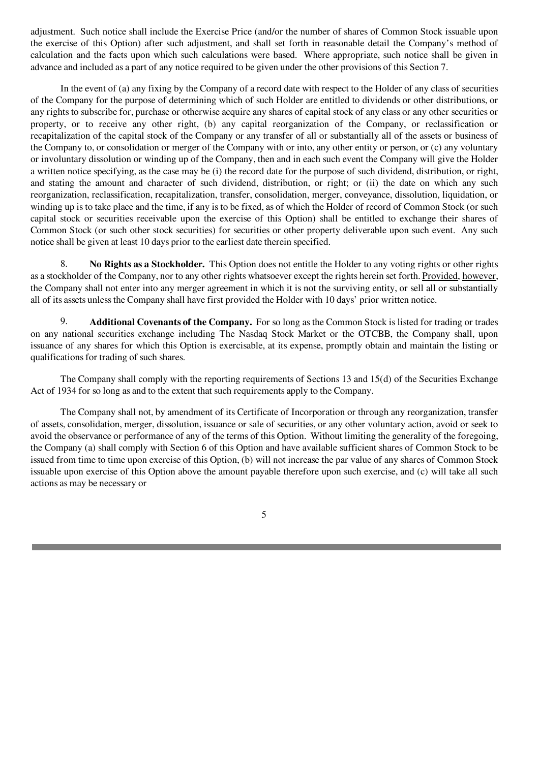adjustment. Such notice shall include the Exercise Price (and/or the number of shares of Common Stock issuable upon the exercise of this Option) after such adjustment, and shall set forth in reasonable detail the Company's method of calculation and the facts upon which such calculations were based. Where appropriate, such notice shall be given in advance and included as a part of any notice required to be given under the other provisions of this Section 7.

In the event of (a) any fixing by the Company of a record date with respect to the Holder of any class of securities of the Company for the purpose of determining which of such Holder are entitled to dividends or other distributions, or any rights to subscribe for, purchase or otherwise acquire any shares of capital stock of any class or any other securities or property, or to receive any other right, (b) any capital reorganization of the Company, or reclassification or recapitalization of the capital stock of the Company or any transfer of all or substantially all of the assets or business of the Company to, or consolidation or merger of the Company with or into, any other entity or person, or (c) any voluntary or involuntary dissolution or winding up of the Company, then and in each such event the Company will give the Holder a written notice specifying, as the case may be (i) the record date for the purpose of such dividend, distribution, or right, and stating the amount and character of such dividend, distribution, or right; or (ii) the date on which any such reorganization, reclassification, recapitalization, transfer, consolidation, merger, conveyance, dissolution, liquidation, or winding up is to take place and the time, if any is to be fixed, as of which the Holder of record of Common Stock (or such capital stock or securities receivable upon the exercise of this Option) shall be entitled to exchange their shares of Common Stock (or such other stock securities) for securities or other property deliverable upon such event. Any such notice shall be given at least 10 days prior to the earliest date therein specified.

8. No Rights as a Stockholder. This Option does not entitle the Holder to any voting rights or other rights as a stockholder of the Company, nor to any other rights whatsoever except the rights herein set forth. Provided, however, the Company shall not enter into any merger agreement in which it is not the surviving entity, or sell all or substantially all of its assets unlessthe Company shall have first provided the Holder with 10 days' prior written notice.

9. Additional Covenants of the Company. For so long as the Common Stock is listed for trading or trades on any national securities exchange including The Nasdaq Stock Market or the OTCBB, the Company shall, upon issuance of any shares for which this Option is exercisable, at its expense, promptly obtain and maintain the listing or qualifications for trading of such shares.

The Company shall comply with the reporting requirements of Sections 13 and 15(d) of the Securities Exchange Act of 1934 for so long as and to the extent that such requirements apply to the Company.

The Company shall not, by amendment of its Certificate of Incorporation or through any reorganization, transfer of assets, consolidation, merger, dissolution, issuance or sale of securities, or any other voluntary action, avoid or seek to avoid the observance or performance of any of the terms of this Option. Without limiting the generality of the foregoing, the Company (a) shall comply with Section 6 of this Option and have available sufficient shares of Common Stock to be issued from time to time upon exercise of this Option, (b) will not increase the par value of any shares of Common Stock issuable upon exercise of this Option above the amount payable therefore upon such exercise, and (c) will take all such actions as may be necessary or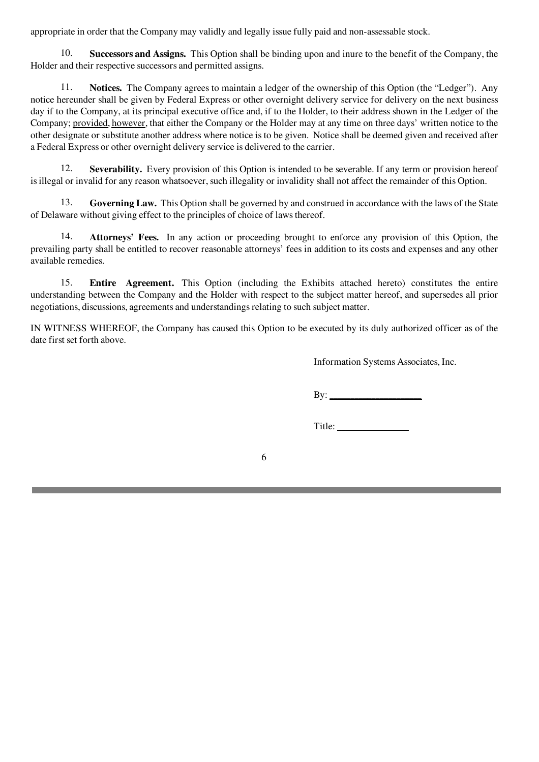appropriate in order that the Company may validly and legally issue fully paid and non-assessable stock.

10. Successors and Assigns. This Option shall be binding upon and inure to the benefit of the Company, the Holder and their respective successors and permitted assigns.

11. Notices. The Company agrees to maintain a ledger of the ownership of this Option (the "Ledger"). Any notice hereunder shall be given by Federal Express or other overnight delivery service for delivery on the next business day if to the Company, at its principal executive office and, if to the Holder, to their address shown in the Ledger of the Company; provided, however, that either the Company or the Holder may at any time on three days' written notice to the other designate or substitute another address where notice is to be given. Notice shall be deemed given and received after a Federal Express or other overnight delivery service is delivered to the carrier.

12. Severability. Every provision of this Option is intended to be severable. If any term or provision hereof is illegal or invalid for any reason whatsoever, such illegality or invalidity shall not affect the remainder of this Option.

13. Governing Law. This Option shall be governed by and construed in accordance with the laws of the State of Delaware without giving effect to the principles of choice of lawsthereof.

14. Attorneys' Fees. In any action or proceeding brought to enforce any provision of this Option, the prevailing party shall be entitled to recover reasonable attorneys' fees in addition to its costs and expenses and any other available remedies.

15. Entire Agreement. This Option (including the Exhibits attached hereto) constitutes the entire understanding between the Company and the Holder with respect to the subject matter hereof, and supersedes all prior negotiations, discussions, agreements and understandingsrelating to such subject matter.

IN WITNESS WHEREOF, the Company has caused this Option to be executed by its duly authorized officer as of the date first set forth above.

Information Systems Associates, Inc.

 $\mathbf{By:}$ 

Title: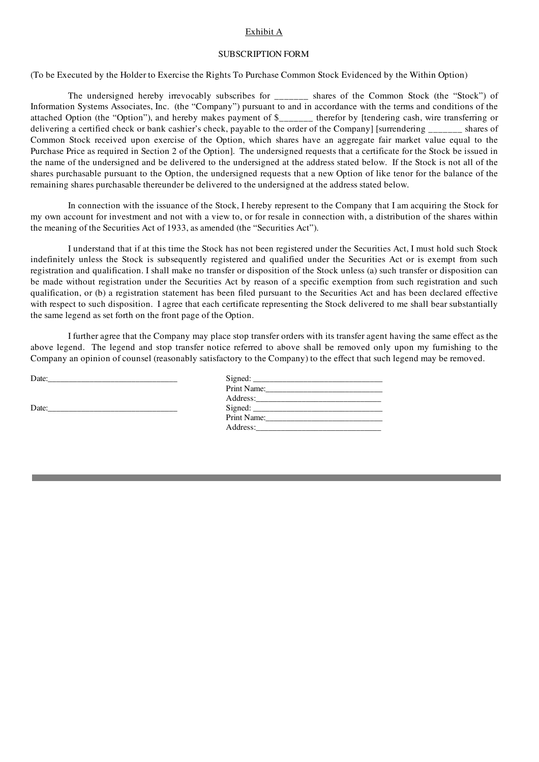### Exhibit A

# SUBSCRIPTION FORM

(To be Executed by the Holder to Exercise the Rights To Purchase Common Stock Evidenced by the Within Option)

The undersigned hereby irrevocably subscribes for shares of the Common Stock (the "Stock") of Information Systems Associates, Inc. (the "Company") pursuant to and in accordance with the terms and conditions of the attached Option (the "Option"), and hereby makes payment of \$\_\_\_\_\_\_\_ therefor by [tendering cash, wire transferring or delivering a certified check or bank cashier's check, payable to the order of the Company] [surrendering \_\_\_\_\_\_\_ shares of Common Stock received upon exercise of the Option, which shares have an aggregate fair market value equal to the Purchase Price as required in Section 2 of the Option]. The undersigned requests that a certificate for the Stock be issued in the name of the undersigned and be delivered to the undersigned at the address stated below. If the Stock is not all of the shares purchasable pursuant to the Option, the undersigned requests that a new Option of like tenor for the balance of the remaining shares purchasable thereunder be delivered to the undersigned at the address stated below.

In connection with the issuance of the Stock, I hereby represent to the Company that I am acquiring the Stock for my own account for investment and not with a view to, or for resale in connection with, a distribution of the shares within the meaning of the Securities Act of 1933, as amended (the "Securities Act").

I understand that if at this time the Stock has not been registered under the Securities Act, I must hold such Stock indefinitely unless the Stock is subsequently registered and qualified under the Securities Act or is exempt from such registration and qualification. I shall make no transfer or disposition of the Stock unless (a) such transfer or disposition can be made without registration under the Securities Act by reason of a specific exemption from such registration and such qualification, or (b) a registration statement has been filed pursuant to the Securities Act and has been declared effective with respect to such disposition. I agree that each certificate representing the Stock delivered to me shall bear substantially the same legend as set forth on the front page of the Option.

I further agree that the Company may place stop transfer orders with its transfer agent having the same effect as the above legend. The legend and stop transfer notice referred to above shall be removed only upon my furnishing to the Company an opinion of counsel (reasonably satisfactory to the Company) to the effect that such legend may be removed.

| Date:<br>the control of the control of the control of the control of the control of the control of |                                                                                |
|----------------------------------------------------------------------------------------------------|--------------------------------------------------------------------------------|
|                                                                                                    | Print Name:<br>the control of the control of the control of the control of the |
|                                                                                                    | Address:                                                                       |
| Date:                                                                                              |                                                                                |
|                                                                                                    | Print Name:                                                                    |
|                                                                                                    | Address:                                                                       |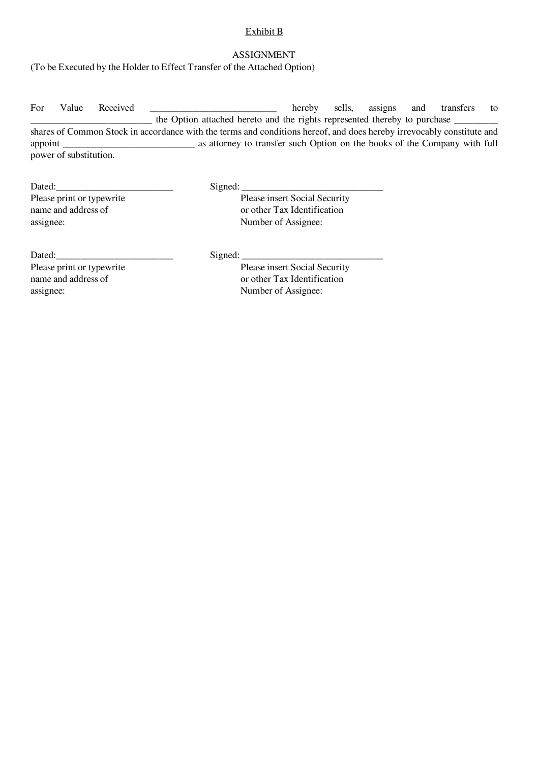# Exhibit B

# ASSIGNMENT

(To be Executed by the Holder to Effect Transfer of the Attached Option)

For Value Received \_\_\_\_\_\_\_\_\_\_\_\_\_\_\_\_\_\_\_\_\_\_\_ hereby sells, assigns and transfers to \_\_\_\_\_\_\_\_\_\_\_\_\_\_\_\_\_\_\_\_\_\_\_\_\_ the Option attached hereto and the rights represented thereby to purchase \_\_\_\_\_\_\_\_\_ shares of Common Stock in accordance with the terms and conditions hereof, and does hereby irrevocably constitute and appoint \_\_\_\_\_\_\_\_\_\_\_\_\_\_\_\_\_\_\_\_\_\_\_\_\_\_\_ as attorney to transfer such Option on the books of the Company with full power of substitution.

Dated: Please print or typewrite name and address of assignee:

Signed:

Please insert Social Security or other Tax Identification Number of Assignee:

Dated:

Please print or typewrite name and address of assignee:

Signed:

Please insert Social Security or other Tax Identification Number of Assignee: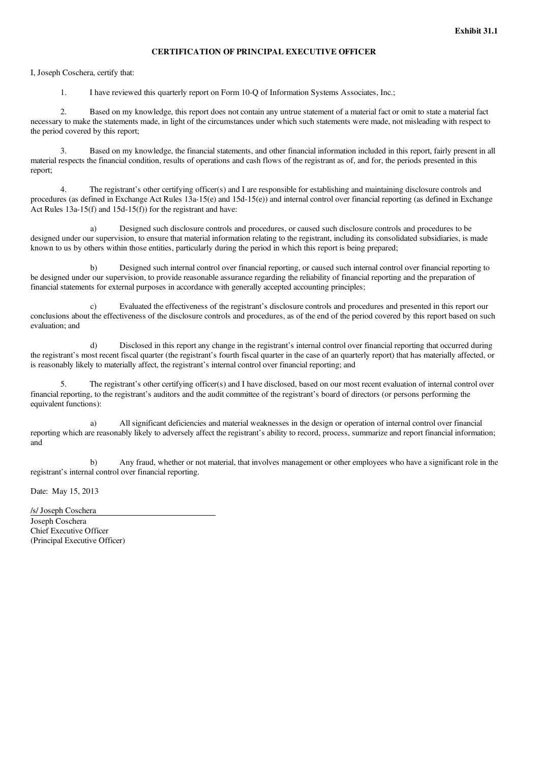# CERTIFICATION OF PRINCIPAL EXECUTIVE OFFICER

I, Joseph Coschera, certify that:

1. I have reviewed this quarterly report on Form 10-Q of Information Systems Associates, Inc.;

2. Based on my knowledge, this report does not contain any untrue statement of a material fact or omit to state a material fact necessary to make the statements made, in light of the circumstances under which such statements were made, not misleading with respect to the period covered by this report;

3. Based on my knowledge, the financial statements, and other financial information included in this report, fairly present in all material respects the financial condition, results of operations and cash flows of the registrant as of, and for, the periods presented in this report;

4. The registrant's other certifying officer(s) and I are responsible for establishing and maintaining disclosure controls and procedures (as defined in Exchange Act Rules 13a-15(e) and 15d-15(e)) and internal control over financial reporting (as defined in Exchange Act Rules  $13a-15(f)$  and  $15d-15(f)$  for the registrant and have:

a) Designed such disclosure controls and procedures, or caused such disclosure controls and procedures to be designed under our supervision, to ensure that material information relating to the registrant, including its consolidated subsidiaries, is made known to us by others within those entities, particularly during the period in which this report is being prepared;

 $h)$ Designed such internal control over financial reporting, or caused such internal control over financial reporting to be designed under our supervision, to provide reasonable assurance regarding the reliability of financial reporting and the preparation of financial statements for external purposes in accordance with generally accepted accounting principles;

c) Evaluated the effectiveness of the registrant's disclosure controls and procedures and presented in this report our conclusions about the effectiveness of the disclosure controls and procedures, as of the end of the period covered by this report based on such evaluation; and

d) Disclosed in this report any change in the registrant's internal control over financial reporting that occurred during the registrant's most recent fiscal quarter (the registrant's fourth fiscal quarter in the case of an quarterly report) that has materially affected, or is reasonably likely to materially affect, the registrant's internal control over financial reporting; and

5. The registrant's other certifying officer(s) and I have disclosed, based on our most recent evaluation of internal control over financial reporting, to the registrant's auditors and the audit committee of the registrant's board of directors (or persons performing the equivalent functions):

a) All significant deficiencies and material weaknesses in the design or operation of internal control over financial reporting which are reasonably likely to adversely affect the registrant's ability to record, process, summarize and report financial information; and

b) Any fraud, whether or not material, that involves management or other employees who have a significant role in the registrant's internal control over financial reporting.

Date: May 15, 2013

# /s/ Joseph Coschera

Joseph Coschera Chief Executive Officer (Principal Executive Officer)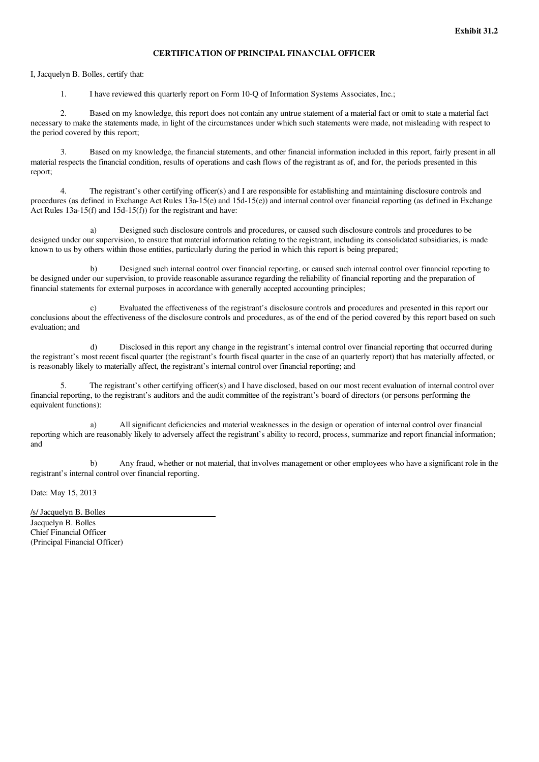# CERTIFICATION OF PRINCIPAL FINANCIAL OFFICER

I, Jacquelyn B. Bolles, certify that:

1. I have reviewed this quarterly report on Form 10-Q of Information Systems Associates, Inc.;

 $\mathcal{L}$ Based on my knowledge, this report does not contain any untrue statement of a material fact or omit to state a material fact necessary to make the statements made, in light of the circumstances under which such statements were made, not misleading with respect to the period covered by this report;

3. Based on my knowledge, the financial statements, and other financial information included in this report, fairly present in all material respects the financial condition, results of operations and cash flows of the registrant as of, and for, the periods presented in this report;

4. The registrant's other certifying officer(s) and I are responsible for establishing and maintaining disclosure controls and procedures (as defined in Exchange Act Rules 13a-15(e) and 15d-15(e)) and internal control over financial reporting (as defined in Exchange Act Rules 13a-15(f) and 15d-15(f)) for the registrant and have:

a) Designed such disclosure controls and procedures, or caused such disclosure controls and procedures to be designed under our supervision, to ensure that material information relating to the registrant, including its consolidated subsidiaries, is made known to us by others within those entities, particularly during the period in which this report is being prepared;

b) Designed such internal control over financial reporting, or caused such internal control over financial reporting to be designed under our supervision, to provide reasonable assurance regarding the reliability of financial reporting and the preparation of financial statements for external purposes in accordance with generally accepted accounting principles;

c) Evaluated the effectiveness of the registrant's disclosure controls and procedures and presented in this report our conclusions about the effectiveness of the disclosure controls and procedures, as of the end of the period covered by this report based on such evaluation; and

d) Disclosed in this report any change in the registrant's internal control over financial reporting that occurred during the registrant's most recent fiscal quarter (the registrant's fourth fiscal quarter in the case of an quarterly report) that has materially affected, or is reasonably likely to materially affect, the registrant's internal control over financial reporting; and

5. The registrant's other certifying officer(s) and I have disclosed, based on our most recent evaluation of internal control over financial reporting, to the registrant's auditors and the audit committee of the registrant's board of directors (or persons performing the equivalent functions):

a) All significant deficiencies and material weaknesses in the design or operation of internal control over financial reporting which are reasonably likely to adversely affect the registrant's ability to record, process, summarize and report financial information; and

b) Any fraud, whether or not material, that involves management or other employees who have a significant role in the registrant's internal control over financial reporting.

Date: May 15, 2013

/s/ Jacquelyn B. Bolles

Jacquelyn B. Bolles Chief Financial Officer (Principal Financial Officer)